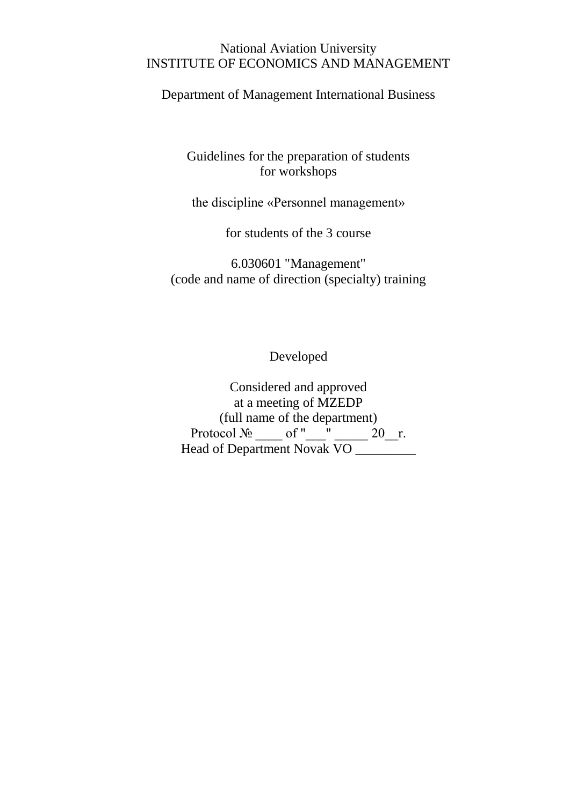#### National Aviation University INSTITUTE OF ECONOMICS AND MANAGEMENT

Department of Management International Business

Guidelines for the preparation of students for workshops

the discipline «Personnel management»

for students of the 3 course

6.030601 "Management" (code and name of direction (specialty) training

Developed

Considered and approved at a meeting of MZEDP (full name of the department) Protocol  $\mathcal{N}_2$  of " \_\_" \_\_\_\_ 20\_\_r. Head of Department Novak VO \_\_\_\_\_\_\_\_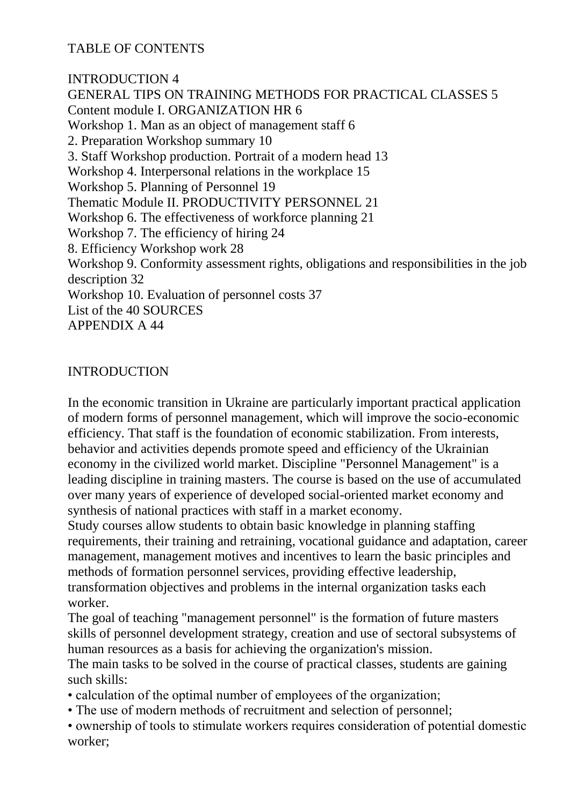TABLE OF CONTENTS

INTRODUCTION 4 GENERAL TIPS ON TRAINING METHODS FOR PRACTICAL CLASSES 5 Content module I. ORGANIZATION HR 6 Workshop 1. Man as an object of management staff 6 2. Preparation Workshop summary 10 3. Staff Workshop production. Portrait of a modern head 13 Workshop 4. Interpersonal relations in the workplace 15 Workshop 5. Planning of Personnel 19 Thematic Module II. PRODUCTIVITY PERSONNEL 21 Workshop 6. The effectiveness of workforce planning 21 Workshop 7. The efficiency of hiring 24 8. Efficiency Workshop work 28 Workshop 9. Conformity assessment rights, obligations and responsibilities in the job description 32 Workshop 10. Evaluation of personnel costs 37 List of the 40 SOURCES APPENDIX A 44

#### INTRODUCTION

In the economic transition in Ukraine are particularly important practical application of modern forms of personnel management, which will improve the socio-economic efficiency. That staff is the foundation of economic stabilization. From interests, behavior and activities depends promote speed and efficiency of the Ukrainian economy in the civilized world market. Discipline "Personnel Management" is a leading discipline in training masters. The course is based on the use of accumulated over many years of experience of developed social-oriented market economy and synthesis of national practices with staff in a market economy.

Study courses allow students to obtain basic knowledge in planning staffing requirements, their training and retraining, vocational guidance and adaptation, career management, management motives and incentives to learn the basic principles and methods of formation personnel services, providing effective leadership, transformation objectives and problems in the internal organization tasks each worker.

The goal of teaching "management personnel" is the formation of future masters skills of personnel development strategy, creation and use of sectoral subsystems of human resources as a basis for achieving the organization's mission.

The main tasks to be solved in the course of practical classes, students are gaining such skills:

• calculation of the optimal number of employees of the organization;

- The use of modern methods of recruitment and selection of personnel;
- ownership of tools to stimulate workers requires consideration of potential domestic worker;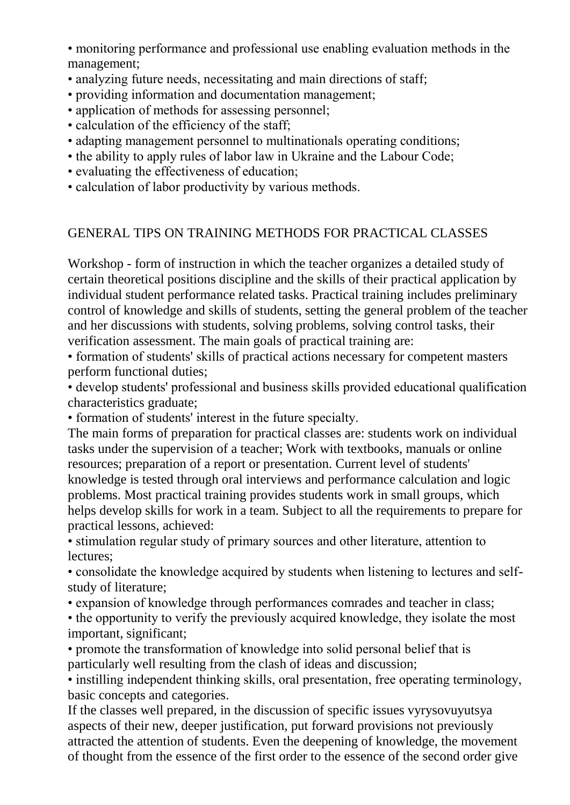• monitoring performance and professional use enabling evaluation methods in the management;

- analyzing future needs, necessitating and main directions of staff;
- providing information and documentation management;
- application of methods for assessing personnel;
- calculation of the efficiency of the staff;
- adapting management personnel to multinationals operating conditions;
- the ability to apply rules of labor law in Ukraine and the Labour Code;
- evaluating the effectiveness of education;
- calculation of labor productivity by various methods.

#### GENERAL TIPS ON TRAINING METHODS FOR PRACTICAL CLASSES

Workshop - form of instruction in which the teacher organizes a detailed study of certain theoretical positions discipline and the skills of their practical application by individual student performance related tasks. Practical training includes preliminary control of knowledge and skills of students, setting the general problem of the teacher and her discussions with students, solving problems, solving control tasks, their verification assessment. The main goals of practical training are:

• formation of students' skills of practical actions necessary for competent masters perform functional duties;

• develop students' professional and business skills provided educational qualification characteristics graduate;

• formation of students' interest in the future specialty.

The main forms of preparation for practical classes are: students work on individual tasks under the supervision of a teacher; Work with textbooks, manuals or online resources; preparation of a report or presentation. Current level of students' knowledge is tested through oral interviews and performance calculation and logic problems. Most practical training provides students work in small groups, which helps develop skills for work in a team. Subject to all the requirements to prepare for practical lessons, achieved:

• stimulation regular study of primary sources and other literature, attention to lectures;

• consolidate the knowledge acquired by students when listening to lectures and selfstudy of literature;

• expansion of knowledge through performances comrades and teacher in class;

• the opportunity to verify the previously acquired knowledge, they isolate the most important, significant;

• promote the transformation of knowledge into solid personal belief that is particularly well resulting from the clash of ideas and discussion;

• instilling independent thinking skills, oral presentation, free operating terminology, basic concepts and categories.

If the classes well prepared, in the discussion of specific issues vyrysovuyutsya aspects of their new, deeper justification, put forward provisions not previously attracted the attention of students. Even the deepening of knowledge, the movement of thought from the essence of the first order to the essence of the second order give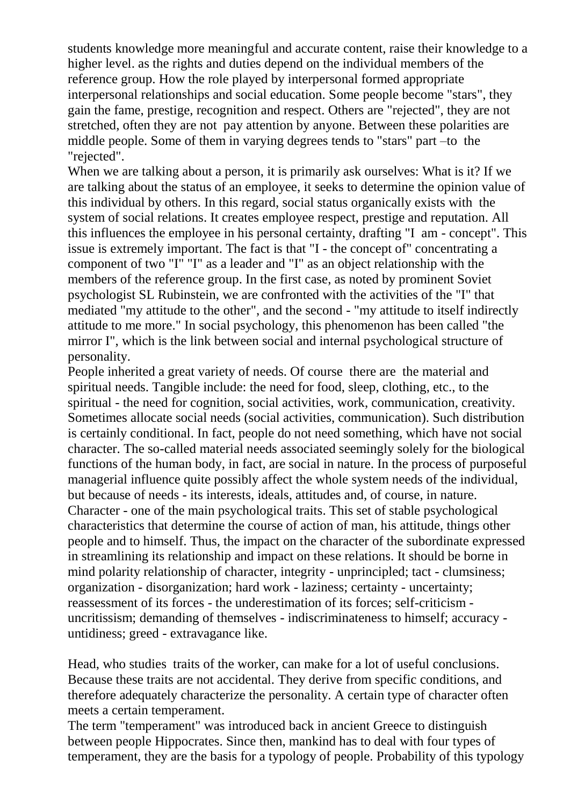students knowledge more meaningful and accurate content, raise their knowledge to a higher level. as the rights and duties depend on the individual members of the reference group. How the role played by interpersonal formed appropriate interpersonal relationships and social education. Some people become "stars", they gain the fame, prestige, recognition and respect. Others are "rejected", they are not stretched, often they are not pay attention by anyone. Between these polarities are middle people. Some of them in varying degrees tends to "stars" part –to the "rejected".

When we are talking about a person, it is primarily ask ourselves: What is it? If we are talking about the status of an employee, it seeks to determine the opinion value of this individual by others. In this regard, social status organically exists with the system of social relations. It creates employee respect, prestige and reputation. All this influences the employee in his personal certainty, drafting "I am - concept". This issue is extremely important. The fact is that "I - the concept of" concentrating a component of two "I" "I" as a leader and "I" as an object relationship with the members of the reference group. In the first case, as noted by prominent Soviet psychologist SL Rubinstein, we are confronted with the activities of the "I" that mediated "my attitude to the other", and the second - "my attitude to itself indirectly attitude to me more." In social psychology, this phenomenon has been called "the mirror I", which is the link between social and internal psychological structure of personality.

People inherited a great variety of needs. Of course there are the material and spiritual needs. Tangible include: the need for food, sleep, clothing, etc., to the spiritual - the need for cognition, social activities, work, communication, creativity. Sometimes allocate social needs (social activities, communication). Such distribution is certainly conditional. In fact, people do not need something, which have not social character. The so-called material needs associated seemingly solely for the biological functions of the human body, in fact, are social in nature. In the process of purposeful managerial influence quite possibly affect the whole system needs of the individual, but because of needs - its interests, ideals, attitudes and, of course, in nature. Character - one of the main psychological traits. This set of stable psychological characteristics that determine the course of action of man, his attitude, things other people and to himself. Thus, the impact on the character of the subordinate expressed in streamlining its relationship and impact on these relations. It should be borne in mind polarity relationship of character, integrity - unprincipled; tact - clumsiness; organization - disorganization; hard work - laziness; certainty - uncertainty; reassessment of its forces - the underestimation of its forces; self-criticism uncritissism; demanding of themselves - indiscriminateness to himself; accuracy untidiness; greed - extravagance like.

Head, who studies traits of the worker, can make for a lot of useful conclusions. Because these traits are not accidental. They derive from specific conditions, and therefore adequately characterize the personality. A certain type of character often meets a certain temperament.

The term "temperament" was introduced back in ancient Greece to distinguish between people Hippocrates. Since then, mankind has to deal with four types of temperament, they are the basis for a typology of people. Probability of this typology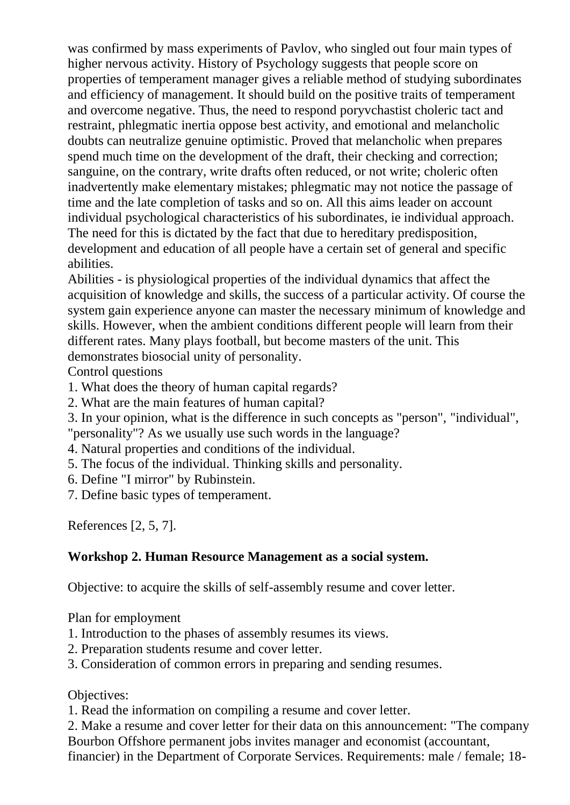was confirmed by mass experiments of Pavlov, who singled out four main types of higher nervous activity. History of Psychology suggests that people score on properties of temperament manager gives a reliable method of studying subordinates and efficiency of management. It should build on the positive traits of temperament and overcome negative. Thus, the need to respond poryvchastist choleric tact and restraint, phlegmatic inertia oppose best activity, and emotional and melancholic doubts can neutralize genuine optimistic. Proved that melancholic when prepares spend much time on the development of the draft, their checking and correction; sanguine, on the contrary, write drafts often reduced, or not write; choleric often inadvertently make elementary mistakes; phlegmatic may not notice the passage of time and the late completion of tasks and so on. All this aims leader on account individual psychological characteristics of his subordinates, ie individual approach. The need for this is dictated by the fact that due to hereditary predisposition, development and education of all people have a certain set of general and specific abilities.

Abilities - is physiological properties of the individual dynamics that affect the acquisition of knowledge and skills, the success of a particular activity. Of course the system gain experience anyone can master the necessary minimum of knowledge and skills. However, when the ambient conditions different people will learn from their different rates. Many plays football, but become masters of the unit. This demonstrates biosocial unity of personality.

Control questions

- 1. What does the theory of human capital regards?
- 2. What are the main features of human capital?
- 3. In your opinion, what is the difference in such concepts as "person", "individual",
- "personality"? As we usually use such words in the language?
- 4. Natural properties and conditions of the individual.
- 5. The focus of the individual. Thinking skills and personality.
- 6. Define "I mirror" by Rubinstein.
- 7. Define basic types of temperament.

References [2, 5, 7].

# **Workshop 2. Human Resource Management as a social system.**

Objective: to acquire the skills of self-assembly resume and cover letter.

Plan for employment

- 1. Introduction to the phases of assembly resumes its views.
- 2. Preparation students resume and cover letter.
- 3. Consideration of common errors in preparing and sending resumes.

Objectives:

1. Read the information on compiling a resume and cover letter.

2. Make a resume and cover letter for their data on this announcement: "The company Bourbon Offshore permanent jobs invites manager and economist (accountant,

financier) in the Department of Corporate Services. Requirements: male / female; 18-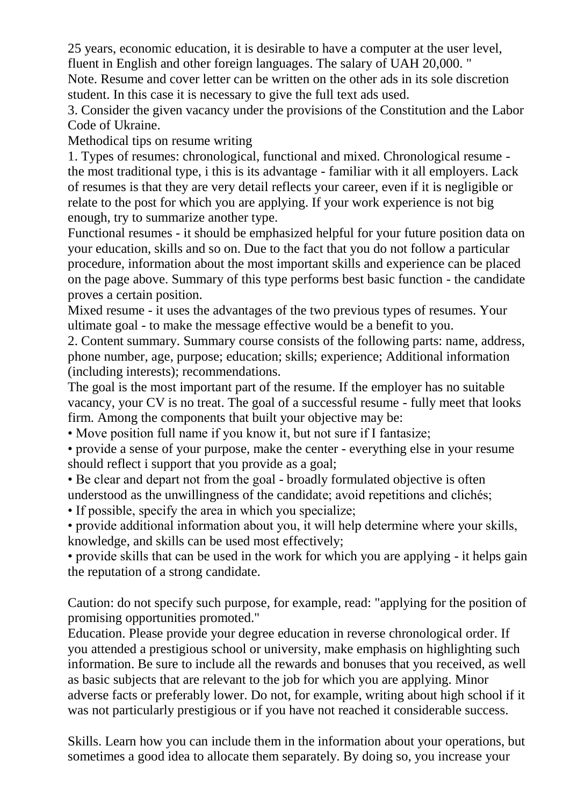25 years, economic education, it is desirable to have a computer at the user level, fluent in English and other foreign languages. The salary of UAH 20,000. "

Note. Resume and cover letter can be written on the other ads in its sole discretion student. In this case it is necessary to give the full text ads used.

3. Consider the given vacancy under the provisions of the Constitution and the Labor Code of Ukraine.

Methodical tips on resume writing

1. Types of resumes: chronological, functional and mixed. Chronological resume the most traditional type, i this is its advantage - familiar with it all employers. Lack of resumes is that they are very detail reflects your career, even if it is negligible or relate to the post for which you are applying. If your work experience is not big enough, try to summarize another type.

Functional resumes - it should be emphasized helpful for your future position data on your education, skills and so on. Due to the fact that you do not follow a particular procedure, information about the most important skills and experience can be placed on the page above. Summary of this type performs best basic function - the candidate proves a certain position.

Mixed resume - it uses the advantages of the two previous types of resumes. Your ultimate goal - to make the message effective would be a benefit to you.

2. Content summary. Summary course consists of the following parts: name, address, phone number, age, purpose; education; skills; experience; Additional information (including interests); recommendations.

The goal is the most important part of the resume. If the employer has no suitable vacancy, your CV is no treat. The goal of a successful resume - fully meet that looks firm. Among the components that built your objective may be:

• Move position full name if you know it, but not sure if I fantasize;

• provide a sense of your purpose, make the center - everything else in your resume should reflect i support that you provide as a goal;

• Be clear and depart not from the goal - broadly formulated objective is often understood as the unwillingness of the candidate; avoid repetitions and clichés;

• If possible, specify the area in which you specialize;

• provide additional information about you, it will help determine where your skills, knowledge, and skills can be used most effectively;

• provide skills that can be used in the work for which you are applying - it helps gain the reputation of a strong candidate.

Caution: do not specify such purpose, for example, read: "applying for the position of promising opportunities promoted."

Education. Please provide your degree education in reverse chronological order. If you attended a prestigious school or university, make emphasis on highlighting such information. Be sure to include all the rewards and bonuses that you received, as well as basic subjects that are relevant to the job for which you are applying. Minor adverse facts or preferably lower. Do not, for example, writing about high school if it was not particularly prestigious or if you have not reached it considerable success.

Skills. Learn how you can include them in the information about your operations, but sometimes a good idea to allocate them separately. By doing so, you increase your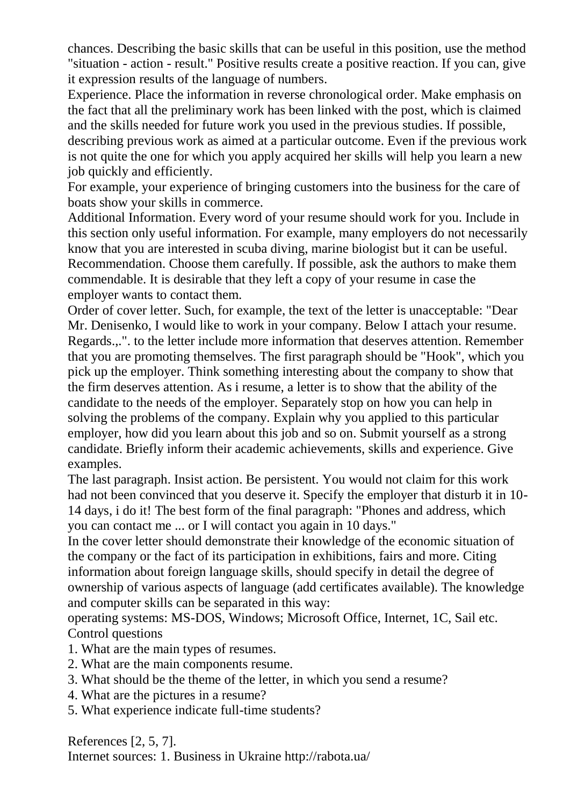chances. Describing the basic skills that can be useful in this position, use the method "situation - action - result." Positive results create a positive reaction. If you can, give it expression results of the language of numbers.

Experience. Place the information in reverse chronological order. Make emphasis on the fact that all the preliminary work has been linked with the post, which is claimed and the skills needed for future work you used in the previous studies. If possible,

describing previous work as aimed at a particular outcome. Even if the previous work is not quite the one for which you apply acquired her skills will help you learn a new job quickly and efficiently.

For example, your experience of bringing customers into the business for the care of boats show your skills in commerce.

Additional Information. Every word of your resume should work for you. Include in this section only useful information. For example, many employers do not necessarily know that you are interested in scuba diving, marine biologist but it can be useful. Recommendation. Choose them carefully. If possible, ask the authors to make them commendable. It is desirable that they left a copy of your resume in case the employer wants to contact them.

Order of cover letter. Such, for example, the text of the letter is unacceptable: "Dear Mr. Denisenko, I would like to work in your company. Below I attach your resume. Regards.,.". to the letter include more information that deserves attention. Remember that you are promoting themselves. The first paragraph should be "Hook", which you pick up the employer. Think something interesting about the company to show that the firm deserves attention. As i resume, a letter is to show that the ability of the candidate to the needs of the employer. Separately stop on how you can help in solving the problems of the company. Explain why you applied to this particular employer, how did you learn about this job and so on. Submit yourself as a strong candidate. Briefly inform their academic achievements, skills and experience. Give examples.

The last paragraph. Insist action. Be persistent. You would not claim for this work had not been convinced that you deserve it. Specify the employer that disturb it in 10- 14 days, i do it! The best form of the final paragraph: "Phones and address, which you can contact me ... or I will contact you again in 10 days."

In the cover letter should demonstrate their knowledge of the economic situation of the company or the fact of its participation in exhibitions, fairs and more. Citing information about foreign language skills, should specify in detail the degree of ownership of various aspects of language (add certificates available). The knowledge and computer skills can be separated in this way:

operating systems: MS-DOS, Windows; Microsoft Office, Internet, 1C, Sail etc. Control questions

- 1. What are the main types of resumes.
- 2. What are the main components resume.
- 3. What should be the theme of the letter, in which you send a resume?
- 4. What are the pictures in a resume?
- 5. What experience indicate full-time students?

References [2, 5, 7]. Internet sources: 1. Business in Ukraine http://rabota.ua/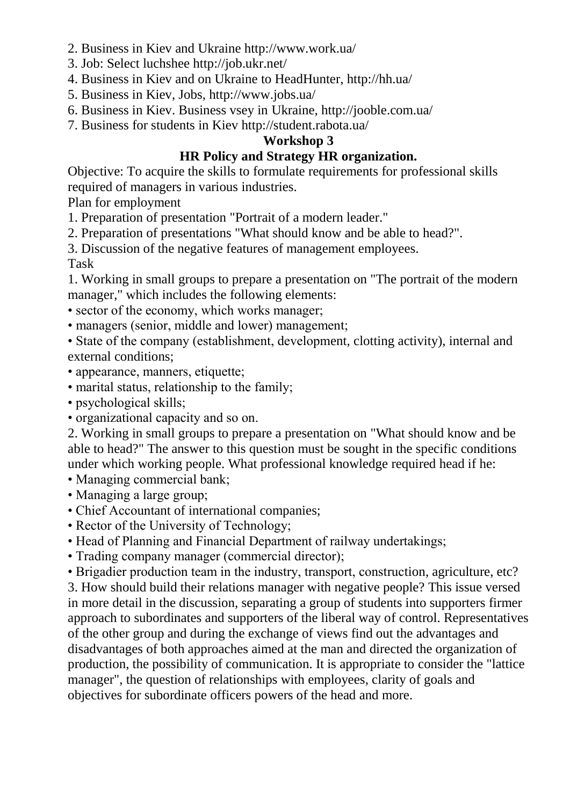- 2. Business in Kiev and Ukraine http://www.work.ua/
- 3. Job: Select luchshee http://job.ukr.net/
- 4. Business in Kiev and on Ukraine to HeadHunter, http://hh.ua/
- 5. Business in Kiev, Jobs, http://www.jobs.ua/
- 6. Business in Kiev. Business vsey in Ukraine, http://jooble.com.ua/
- 7. Business for students in Kiev http://student.rabota.ua/

### **Workshop 3**

# **HR Policy and Strategy HR organization.**

Objective: To acquire the skills to formulate requirements for professional skills required of managers in various industries.

Plan for employment

1. Preparation of presentation "Portrait of a modern leader."

2. Preparation of presentations "What should know and be able to head?".

3. Discussion of the negative features of management employees.

Task

1. Working in small groups to prepare a presentation on "The portrait of the modern manager," which includes the following elements:

- sector of the economy, which works manager;
- managers (senior, middle and lower) management;

• State of the company (establishment, development, clotting activity), internal and external conditions;

- appearance, manners, etiquette;
- marital status, relationship to the family;
- psychological skills;
- organizational capacity and so on.

2. Working in small groups to prepare a presentation on "What should know and be able to head?" The answer to this question must be sought in the specific conditions under which working people. What professional knowledge required head if he:

• Managing commercial bank;

- Managing a large group;
- Chief Accountant of international companies;
- Rector of the University of Technology;
- Head of Planning and Financial Department of railway undertakings;
- Trading company manager (commercial director);

• Brigadier production team in the industry, transport, construction, agriculture, etc?

3. How should build their relations manager with negative people? This issue versed in more detail in the discussion, separating a group of students into supporters firmer approach to subordinates and supporters of the liberal way of control. Representatives of the other group and during the exchange of views find out the advantages and disadvantages of both approaches aimed at the man and directed the organization of production, the possibility of communication. It is appropriate to consider the "lattice manager", the question of relationships with employees, clarity of goals and objectives for subordinate officers powers of the head and more.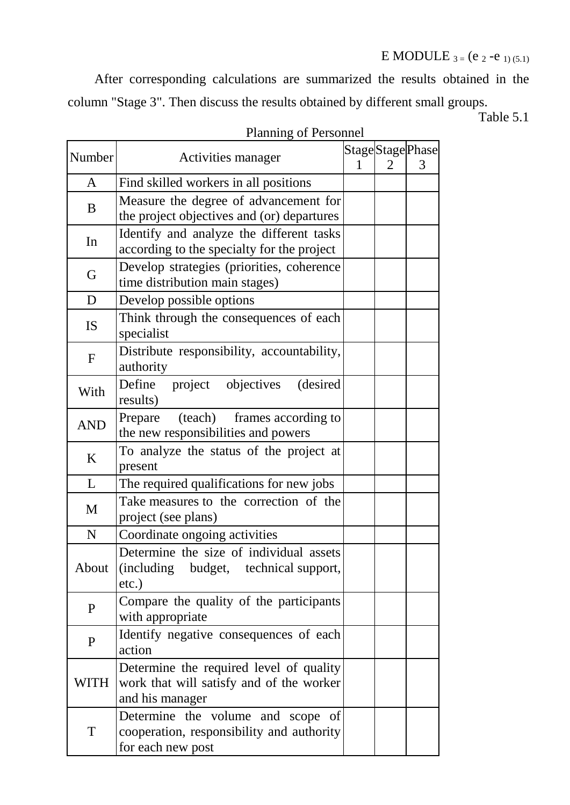After corresponding calculations are summarized the results obtained in the column "Stage 3". Then discuss the results obtained by different small groups.

Table 5.1

| Number       | Activities manager                                                                                     | $\mathcal{D}_{\mathcal{L}}$ | StageStagePhase<br>3 |
|--------------|--------------------------------------------------------------------------------------------------------|-----------------------------|----------------------|
| $\mathbf{A}$ | Find skilled workers in all positions                                                                  |                             |                      |
| B            | Measure the degree of advancement for<br>the project objectives and (or) departures                    |                             |                      |
| In           | Identify and analyze the different tasks<br>according to the specialty for the project                 |                             |                      |
| G            | Develop strategies (priorities, coherence<br>time distribution main stages)                            |                             |                      |
| D            | Develop possible options                                                                               |                             |                      |
| <b>IS</b>    | Think through the consequences of each<br>specialist                                                   |                             |                      |
| $\mathbf F$  | Distribute responsibility, accountability,<br>authority                                                |                             |                      |
| With         | Define project objectives<br>(desired)<br>results)                                                     |                             |                      |
| <b>AND</b>   | (teach) frames according to<br>Prepare<br>the new responsibilities and powers                          |                             |                      |
| K            | To analyze the status of the project at<br>present                                                     |                             |                      |
| L            | The required qualifications for new jobs                                                               |                             |                      |
| M            | Take measures to the correction of the<br>project (see plans)                                          |                             |                      |
| N            | Coordinate ongoing activities                                                                          |                             |                      |
| About        | Determine the size of individual assets<br>(including budget, technical support,<br>$etc.$ )           |                             |                      |
| $\mathbf{P}$ | Compare the quality of the participants<br>with appropriate                                            |                             |                      |
| P            | Identify negative consequences of each<br>action                                                       |                             |                      |
| WITH         | Determine the required level of quality<br>work that will satisfy and of the worker<br>and his manager |                             |                      |
| $\mathbf T$  | Determine the volume and scope of<br>cooperation, responsibility and authority<br>for each new post    |                             |                      |

### Planning of Personnel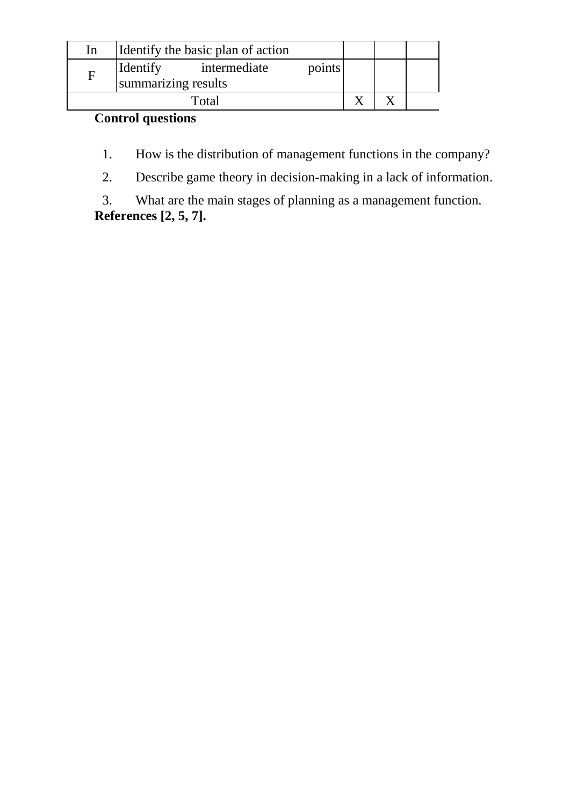| In | Identify the basic plan of action               |        |  |  |
|----|-------------------------------------------------|--------|--|--|
|    | Identify<br>intermediate<br>summarizing results | points |  |  |
|    |                                                 |        |  |  |

# **Control questions**

1. How is the distribution of management functions in the company?

2. Describe game theory in decision-making in a lack of information.

3. What are the main stages of planning as a management function. **References [2, 5, 7].**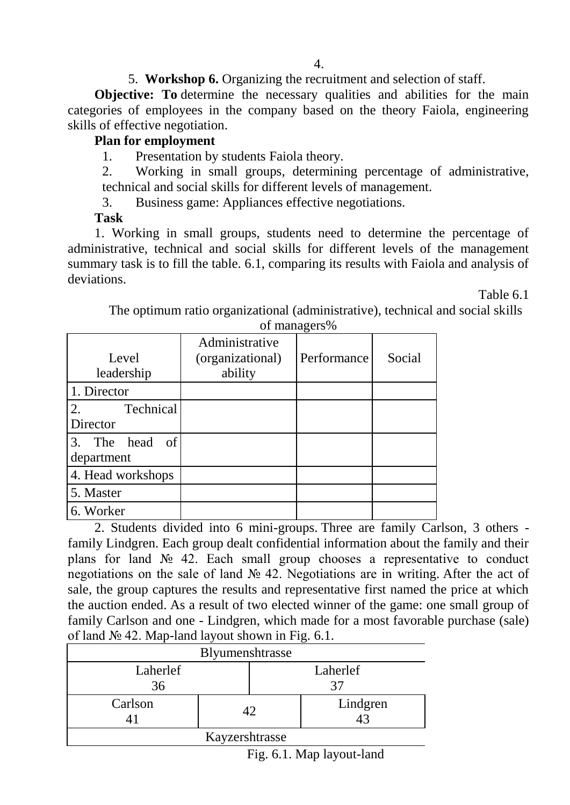5. **Workshop 6.** Organizing the recruitment and selection of staff.

**Objective:** To determine the necessary qualities and abilities for the main categories of employees in the company based on the theory Faiola, engineering skills of effective negotiation.

### **Plan for employment**

1. Presentation by students Faiola theory.

2. Working in small groups, determining percentage of administrative, technical and social skills for different levels of management.

3. Business game: Appliances effective negotiations.

#### **Task**

1. Working in small groups, students need to determine the percentage of administrative, technical and social skills for different levels of the management summary task is to fill the table. 6.1, comparing its results with Faiola and analysis of deviations.

Table 6.1

| Level<br>leadership          | Administrative<br>(organizational)<br>ability | Performance | Social |
|------------------------------|-----------------------------------------------|-------------|--------|
| 1. Director                  |                                               |             |        |
| Technical<br>2.              |                                               |             |        |
| Director                     |                                               |             |        |
| 3. The head of<br>department |                                               |             |        |
| 4. Head workshops            |                                               |             |        |
| 5. Master                    |                                               |             |        |
| 6. Worker                    |                                               |             |        |

The optimum ratio organizational (administrative), technical and social skills of managers%

2. Students divided into 6 mini-groups. Three are family Carlson, 3 others family Lindgren. Each group dealt confidential information about the family and their plans for land № 42. Each small group chooses a representative to conduct negotiations on the sale of land № 42. Negotiations are in writing. After the act of sale, the group captures the results and representative first named the price at which the auction ended. As a result of two elected winner of the game: one small group of family Carlson and one - Lindgren, which made for a most favorable purchase (sale) of land № 42. Map-land layout shown in Fig. 6.1.

|                | Blyumenshtrasse |          |  |  |  |  |
|----------------|-----------------|----------|--|--|--|--|
| Laherlef<br>36 |                 | Laherlef |  |  |  |  |
| Carlson        | 42              | Lindgren |  |  |  |  |
| Kayzershtrasse |                 |          |  |  |  |  |

Fig. 6.1. Map layout-land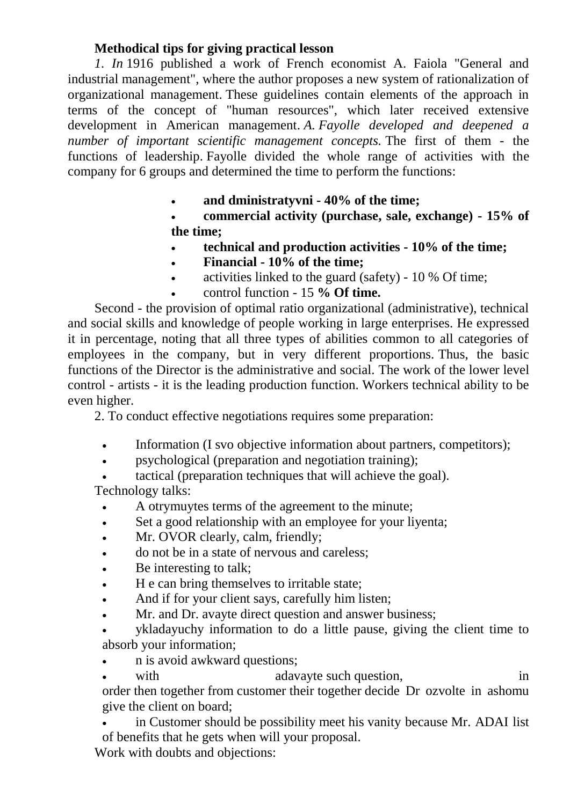### **Methodical tips for giving practical lesson**

*1. In* 1916 published a work of French economist A. Faiola "General and industrial management", where the author proposes a new system of rationalization of organizational management. These guidelines contain elements of the approach in terms of the concept of "human resources", which later received extensive development in American management. *A. Fayolle developed and deepened a number of important scientific management concepts.* The first of them - the functions of leadership. Fayolle divided the whole range of activities with the company for 6 groups and determined the time to perform the functions:

**and dministratyvni - 40% of the time;**

 **commercial activity (purchase, sale, exchange) - 15% of the time;**

- **technical and production activities - 10% of the time;**
- **Financial - 10% of the time;**
- activities linked to the guard (safety) 10 % Of time;
- control function 15 **% Of time.**

Second - the provision of optimal ratio organizational (administrative), technical and social skills and knowledge of people working in large enterprises. He expressed it in percentage, noting that all three types of abilities common to all categories of employees in the company, but in very different proportions. Thus, the basic functions of the Director is the administrative and social. The work of the lower level control - artists - it is the leading production function. Workers technical ability to be even higher.

2. To conduct effective negotiations requires some preparation:

- Information (I svo objective information about partners, competitors);
- psychological (preparation and negotiation training);
- tactical (preparation techniques that will achieve the goal).

Technology talks:

- A otrymuytes terms of the agreement to the minute;
- Set a good relationship with an employee for your liyenta;
- Mr. OVOR clearly, calm, friendly;
- do not be in a state of nervous and careless;
- Be interesting to talk;
- H e can bring themselves to irritable state;
- And if for your client says, carefully him listen;
- Mr. and Dr. avayte direct question and answer business;
- ykladayuchy information to do a little pause, giving the client time to absorb your information;
- n is avoid awkward questions;
- with adavayte such question, in

order then together from customer their together decide Dr ozvolte in ashomu give the client on board;

 in Customer should be possibility meet his vanity because Mr. ADAI list of benefits that he gets when will your proposal.

Work with doubts and objections: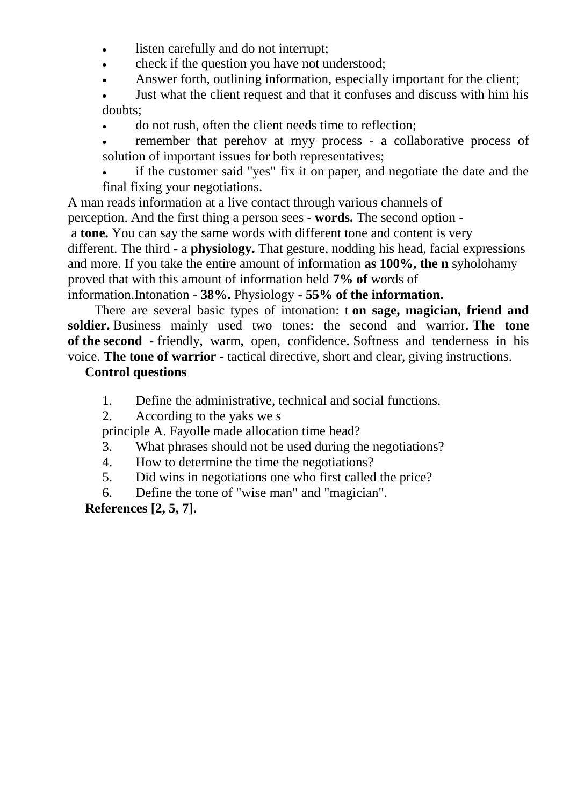- listen carefully and do not interrupt;
- check if the question you have not understood;
- Answer forth, outlining information, especially important for the client;
- Just what the client request and that it confuses and discuss with him his doubts;
- do not rush, often the client needs time to reflection;
- remember that perehov at rnyy process a collaborative process of solution of important issues for both representatives;
- if the customer said "yes" fix it on paper, and negotiate the date and the final fixing your negotiations.

A man reads information at a live contact through various channels of

perception. And the first thing a person sees **- words.** The second option **-**

a **tone.** You can say the same words with different tone and content is very

different. The third **-** a **physiology.** That gesture, nodding his head, facial expressions and more. If you take the entire amount of information **as 100%, the n** syholohamy proved that with this amount of information held **7% of** words of

#### information.Intonation - **38%.** Physiology **- 55% of the information.**

There are several basic types of intonation: t **on sage, magician, friend and soldier.** Business mainly used two tones: the second and warrior. **The tone of the second -** friendly, warm, open, confidence. Softness and tenderness in his voice. **The tone of warrior -** tactical directive, short and clear, giving instructions.

#### **Control questions**

- 1. Define the administrative, technical and social functions.
- 2. According to the yaks we s

principle A. Fayolle made allocation time head?

- 3. What phrases should not be used during the negotiations?
- 4. How to determine the time the negotiations?
- 5. Did wins in negotiations one who first called the price?
- 6. Define the tone of "wise man" and "magician".

**References [2, 5, 7].**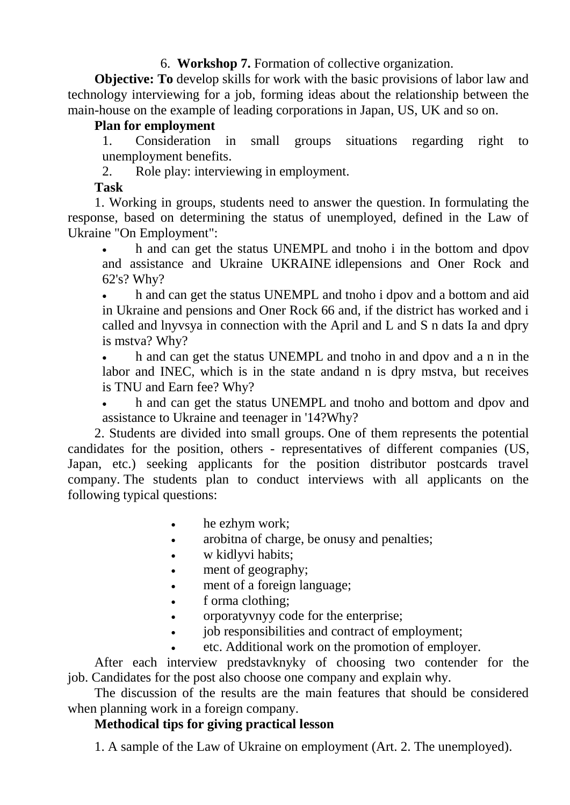### 6. **Workshop 7.** Formation of collective organization.

**Objective: To** develop skills for work with the basic provisions of labor law and technology interviewing for a job, forming ideas about the relationship between the main-house on the example of leading corporations in Japan, US, UK and so on.

#### **Plan for employment**

1. Consideration in small groups situations regarding right to unemployment benefits.

2. Role play: interviewing in employment.

#### **Task**

1. Working in groups, students need to answer the question. In formulating the response, based on determining the status of unemployed, defined in the Law of Ukraine "On Employment":

• h and can get the status UNEMPL and tnoho i in the bottom and dpov and assistance and Ukraine UKRAINE idlepensions and Oner Rock and 62's? Why?

 h and can get the status UNEMPL and tnoho i dpov and a bottom and aid in Ukraine and pensions and Oner Rock 66 and, if the district has worked and i called and lnyvsya in connection with the April and L and S n dats Ia and dpry is mstva? Why?

 h and can get the status UNEMPL and tnoho in and dpov and a n in the labor and INEC, which is in the state andand n is dpry mstva, but receives is TNU and Earn fee? Why?

 h and can get the status UNEMPL and tnoho and bottom and dpov and assistance to Ukraine and teenager in '14?Why?

2. Students are divided into small groups. One of them represents the potential candidates for the position, others - representatives of different companies (US, Japan, etc.) seeking applicants for the position distributor postcards travel company. The students plan to conduct interviews with all applicants on the following typical questions:

- he ezhym work;
- arobitna of charge, be onusy and penalties;
- w kidlyvi habits;
- ment of geography;
- ment of a foreign language;
- f orma clothing;
- orporatyvnyy code for the enterprise;
- job responsibilities and contract of employment;
- etc. Additional work on the promotion of employer.

After each interview predstavknyky of choosing two contender for the job. Candidates for the post also choose one company and explain why.

The discussion of the results are the main features that should be considered when planning work in a foreign company.

# **Methodical tips for giving practical lesson**

1. A sample of the Law of Ukraine on employment (Art. 2. The unemployed).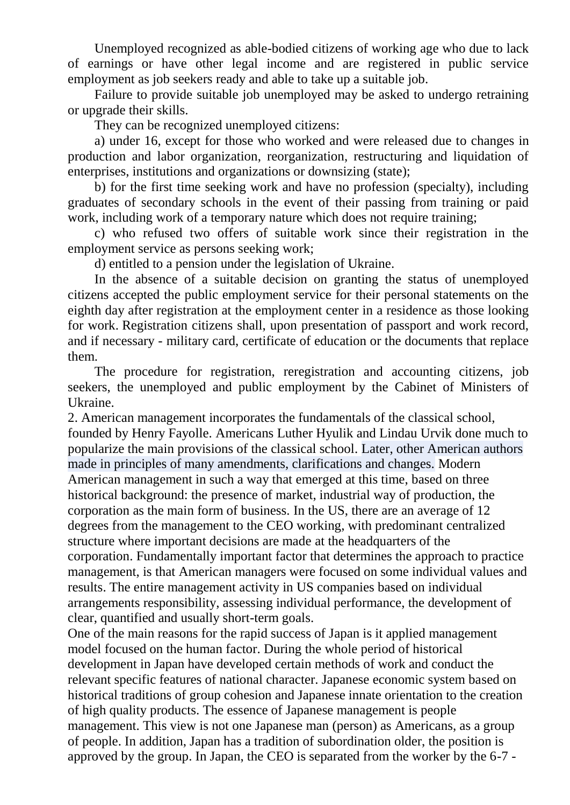Unemployed recognized as able-bodied citizens of working age who due to lack of earnings or have other legal income and are registered in public service employment as job seekers ready and able to take up a suitable job.

Failure to provide suitable job unemployed may be asked to undergo retraining or upgrade their skills.

They can be recognized unemployed citizens:

a) under 16, except for those who worked and were released due to changes in production and labor organization, reorganization, restructuring and liquidation of enterprises, institutions and organizations or downsizing (state);

b) for the first time seeking work and have no profession (specialty), including graduates of secondary schools in the event of their passing from training or paid work, including work of a temporary nature which does not require training;

c) who refused two offers of suitable work since their registration in the employment service as persons seeking work;

d) entitled to a pension under the legislation of Ukraine.

In the absence of a suitable decision on granting the status of unemployed citizens accepted the public employment service for their personal statements on the eighth day after registration at the employment center in a residence as those looking for work. Registration citizens shall, upon presentation of passport and work record, and if necessary - military card, certificate of education or the documents that replace them.

The procedure for registration, reregistration and accounting citizens, job seekers, the unemployed and public employment by the Cabinet of Ministers of Ukraine.

2. American management incorporates the fundamentals of the classical school, founded by Henry Fayolle. Americans Luther Hyulik and Lindau Urvik done much to popularize the main provisions of the classical school. Later, other American authors made in principles of many amendments, clarifications and changes. Modern American management in such a way that emerged at this time, based on three historical background: the presence of market, industrial way of production, the corporation as the main form of business. In the US, there are an average of 12 degrees from the management to the CEO working, with predominant centralized structure where important decisions are made at the headquarters of the corporation. Fundamentally important factor that determines the approach to practice management, is that American managers were focused on some individual values and results. The entire management activity in US companies based on individual arrangements responsibility, assessing individual performance, the development of clear, quantified and usually short-term goals.

One of the main reasons for the rapid success of Japan is it applied management model focused on the human factor. During the whole period of historical development in Japan have developed certain methods of work and conduct the relevant specific features of national character. Japanese economic system based on historical traditions of group cohesion and Japanese innate orientation to the creation of high quality products. The essence of Japanese management is people management. This view is not one Japanese man (person) as Americans, as a group of people. In addition, Japan has a tradition of subordination older, the position is approved by the group. In Japan, the CEO is separated from the worker by the 6-7 -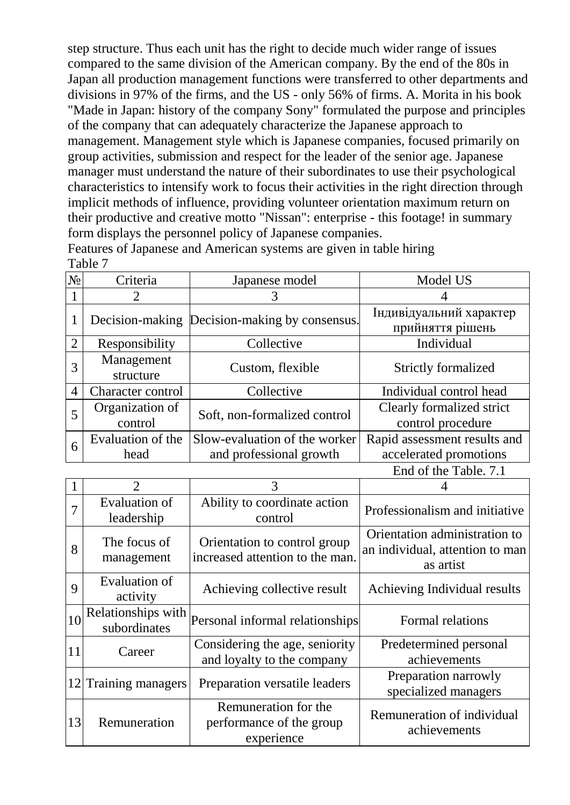step structure. Thus each unit has the right to decide much wider range of issues compared to the same division of the American company. By the end of the 80s in Japan all production management functions were transferred to other departments and divisions in 97% of the firms, and the US - only 56% of firms. A. Morita in his book "Made in Japan: history of the company Sony" formulated the purpose and principles of the company that can adequately characterize the Japanese approach to management. Management style which is Japanese companies, focused primarily on group activities, submission and respect for the leader of the senior age. Japanese manager must understand the nature of their subordinates to use their psychological characteristics to intensify work to focus their activities in the right direction through implicit methods of influence, providing volunteer orientation maximum return on their productive and creative motto "Nissan": enterprise - this footage! in summary form displays the personnel policy of Japanese companies.

Features of Japanese and American systems are given in table hiring Table 7

| N <sub>0</sub> | Criteria                    | Japanese model                                           | Model US                                                                                                                                                                                                                                                                                                                                                                       |
|----------------|-----------------------------|----------------------------------------------------------|--------------------------------------------------------------------------------------------------------------------------------------------------------------------------------------------------------------------------------------------------------------------------------------------------------------------------------------------------------------------------------|
|                |                             |                                                          |                                                                                                                                                                                                                                                                                                                                                                                |
| 1              |                             | Decision-making Decision-making by consensus.            | Індивідуальний характер<br>прийняття рішень                                                                                                                                                                                                                                                                                                                                    |
| $\overline{2}$ | Responsibility              | Collective                                               | Individual                                                                                                                                                                                                                                                                                                                                                                     |
| 3              | Management<br>structure     | Custom, flexible                                         | <b>Strictly formalized</b>                                                                                                                                                                                                                                                                                                                                                     |
| $\overline{4}$ | Character control           | Collective                                               | Individual control head                                                                                                                                                                                                                                                                                                                                                        |
| 5              | Organization of<br>control  | Soft, non-formalized control                             | Clearly formalized strict<br>control procedure                                                                                                                                                                                                                                                                                                                                 |
| 6              | Evaluation of the<br>head   | Slow-evaluation of the worker<br>and professional growth | Rapid assessment results and<br>accelerated promotions                                                                                                                                                                                                                                                                                                                         |
|                |                             |                                                          | End of the Table. 7.1                                                                                                                                                                                                                                                                                                                                                          |
|                | $\mathcal{D}_{\mathcal{L}}$ | 3                                                        |                                                                                                                                                                                                                                                                                                                                                                                |
| $\mathbf{r}$   | Evaluation of               | Ability to coordinate action                             | $\mathbf{D} \cup \mathbf{C}$ , $\mathbf{L} \cup \mathbf{C}$ , $\mathbf{L} \cup \mathbf{C}$ , $\mathbf{L} \cup \mathbf{C}$ , $\mathbf{L} \cup \mathbf{C}$ , $\mathbf{L} \cup \mathbf{C}$ , $\mathbf{L} \cup \mathbf{C}$ , $\mathbf{L} \cup \mathbf{C}$ , $\mathbf{L} \cup \mathbf{C}$ , $\mathbf{L} \cup \mathbf{C}$ , $\mathbf{L} \cup \mathbf{C}$ , $\mathbf{L} \cup \mathbf$ |

| л.          |                                    |                                                                 |                                                                               |
|-------------|------------------------------------|-----------------------------------------------------------------|-------------------------------------------------------------------------------|
|             | <b>Evaluation of</b><br>leadership | Ability to coordinate action<br>control                         | Professionalism and initiative                                                |
| 8           | The focus of<br>management         | Orientation to control group<br>increased attention to the man. | Orientation administration to<br>an individual, attention to man<br>as artist |
| $\mathbf Q$ | Evaluation of<br>activity          | Achieving collective result                                     | Achieving Individual results                                                  |
| 10          | Relationships with<br>subordinates | Personal informal relationships                                 | Formal relations                                                              |
| 11          | Career                             | Considering the age, seniority<br>and loyalty to the company    | Predetermined personal<br>achievements                                        |
|             | 12 Training managers               | Preparation versatile leaders                                   | Preparation narrowly<br>specialized managers                                  |
| 13          | Remuneration                       | Remuneration for the<br>performance of the group<br>experience  | Remuneration of individual<br>achievements                                    |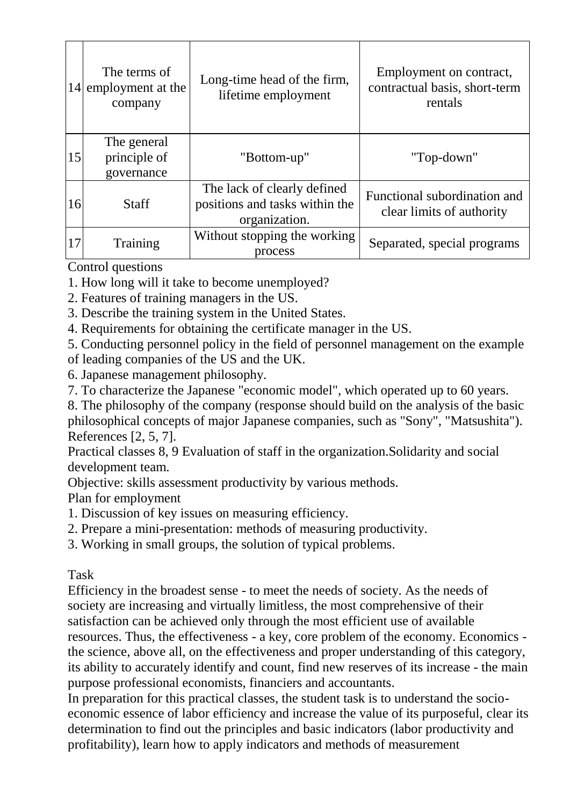| 14 | The terms of<br>employment at the<br>company | Long-time head of the firm,<br>lifetime employment                             | Employment on contract,<br>contractual basis, short-term<br>rentals |
|----|----------------------------------------------|--------------------------------------------------------------------------------|---------------------------------------------------------------------|
| 15 | The general<br>principle of<br>governance    | "Bottom-up"                                                                    | "Top-down"                                                          |
| 16 | <b>Staff</b>                                 | The lack of clearly defined<br>positions and tasks within the<br>organization. | Functional subordination and<br>clear limits of authority           |
| 17 | Training                                     | Without stopping the working<br>process                                        | Separated, special programs                                         |

Control questions

- 1. How long will it take to become unemployed?
- 2. Features of training managers in the US.
- 3. Describe the training system in the United States.
- 4. Requirements for obtaining the certificate manager in the US.
- 5. Conducting personnel policy in the field of personnel management on the example of leading companies of the US and the UK.
- 6. Japanese management philosophy.
- 7. To characterize the Japanese "economic model", which operated up to 60 years.
- 8. The philosophy of the company (response should build on the analysis of the basic philosophical concepts of major Japanese companies, such as "Sony", "Matsushita"). References [2, 5, 7].

Practical classes 8, 9 Evaluation of staff in the organization.Solidarity and social development team.

Objective: skills assessment productivity by various methods.

Plan for employment

- 1. Discussion of key issues on measuring efficiency.
- 2. Prepare a mini-presentation: methods of measuring productivity.
- 3. Working in small groups, the solution of typical problems.

Task

Efficiency in the broadest sense - to meet the needs of society. As the needs of society are increasing and virtually limitless, the most comprehensive of their satisfaction can be achieved only through the most efficient use of available resources. Thus, the effectiveness - a key, core problem of the economy. Economics the science, above all, on the effectiveness and proper understanding of this category, its ability to accurately identify and count, find new reserves of its increase - the main purpose professional economists, financiers and accountants.

In preparation for this practical classes, the student task is to understand the socioeconomic essence of labor efficiency and increase the value of its purposeful, clear its determination to find out the principles and basic indicators (labor productivity and profitability), learn how to apply indicators and methods of measurement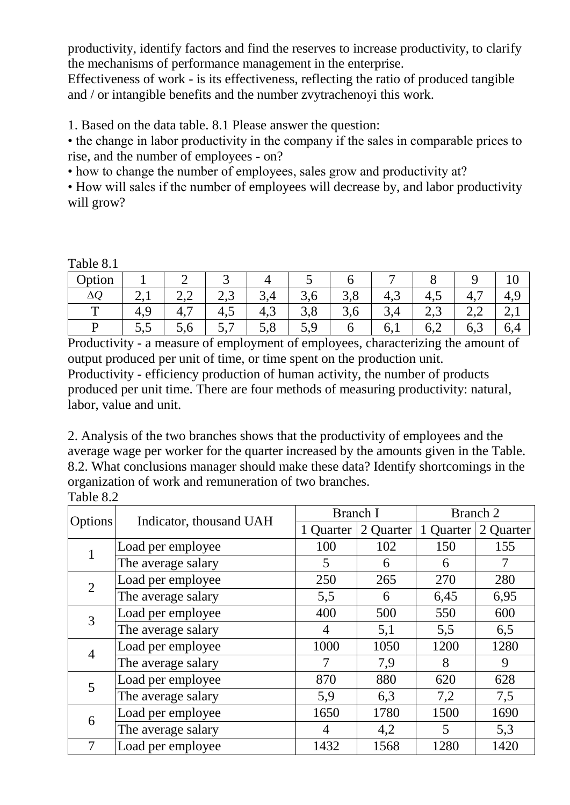productivity, identify factors and find the reserves to increase productivity, to clarify the mechanisms of performance management in the enterprise.

Effectiveness of work - is its effectiveness, reflecting the ratio of produced tangible and / or intangible benefits and the number zvytrachenoyi this work.

1. Based on the data table. 8.1 Please answer the question:

• the change in labor productivity in the company if the sales in comparable prices to rise, and the number of employees - on?

• how to change the number of employees, sales grow and productivity at?

• How will sales if the number of employees will decrease by, and labor productivity will grow?

Table 8.1

| Option       |    |                      | ັ                       |                                      |     |               | ᠆                        |              |                 |          |
|--------------|----|----------------------|-------------------------|--------------------------------------|-----|---------------|--------------------------|--------------|-----------------|----------|
| $\Delta Q$   |    | <u>___</u>           | $\sqrt{2}$<br>⌒<br>ں وگ | ⌒<br>, 그<br>$\overline{\phantom{a}}$ | J,U | $\sim$<br>3,0 | $\rightarrow$<br>4,5     | +.∪          | -<br>т.         | $+,$     |
| $\mathbf{r}$ | ◡  | $\overline{ }$<br>4, | 4,J                     | 4,3                                  | J,0 | 3,0           | ᇅ<br>◡                   | $\sim, \sim$ | $\sim$<br>ے ، ب |          |
|              | ັ້ | $\cup$ . $\cup$      | ، ب                     | J,0                                  | J,  |               | $\mathbf{0}, \mathbf{1}$ | 0.2          | 6,3             | $_{0,4}$ |

Productivity - a measure of employment of employees, characterizing the amount of output produced per unit of time, or time spent on the production unit. Productivity - efficiency production of human activity, the number of products produced per unit time. There are four methods of measuring productivity: natural, labor, value and unit.

2. Analysis of the two branches shows that the productivity of employees and the average wage per worker for the quarter increased by the amounts given in the Table. 8.2. What conclusions manager should make these data? Identify shortcomings in the organization of work and remuneration of two branches. Table 8.2

| Options |                         | Branch I  |           | Branch 2  |           |  |  |  |
|---------|-------------------------|-----------|-----------|-----------|-----------|--|--|--|
|         | Indicator, thousand UAH | 1 Quarter | 2 Quarter | 1 Quarter | 2 Quarter |  |  |  |
|         | Load per employee       | 100       | 102       | 150       | 155       |  |  |  |
|         | The average salary      | 5         | 6         | 6         | 7         |  |  |  |
|         | Load per employee       | 250       | 265       | 270       | 280       |  |  |  |
| 2       | The average salary      | 5,5       | 6         | 6,45      | 6,95      |  |  |  |
| 3       | Load per employee       | 400       | 500       | 550       | 600       |  |  |  |
|         | The average salary      | 4         | 5,1       | 5,5       | 6,5       |  |  |  |
|         | Load per employee       | 1000      | 1050      | 1200      | 1280      |  |  |  |
| 4       | The average salary      |           | 7,9       | 8         | 9         |  |  |  |
| 5       | Load per employee       | 870       | 880       | 620       | 628       |  |  |  |
|         | The average salary      | 5,9       | 6,3       | 7,2       | 7,5       |  |  |  |
|         | Load per employee       | 1650      | 1780      | 1500      | 1690      |  |  |  |
| 6       | The average salary      | 4         | 4,2       | 5         | 5,3       |  |  |  |
|         | Load per employee       | 1432      | 1568      | 1280      | 1420      |  |  |  |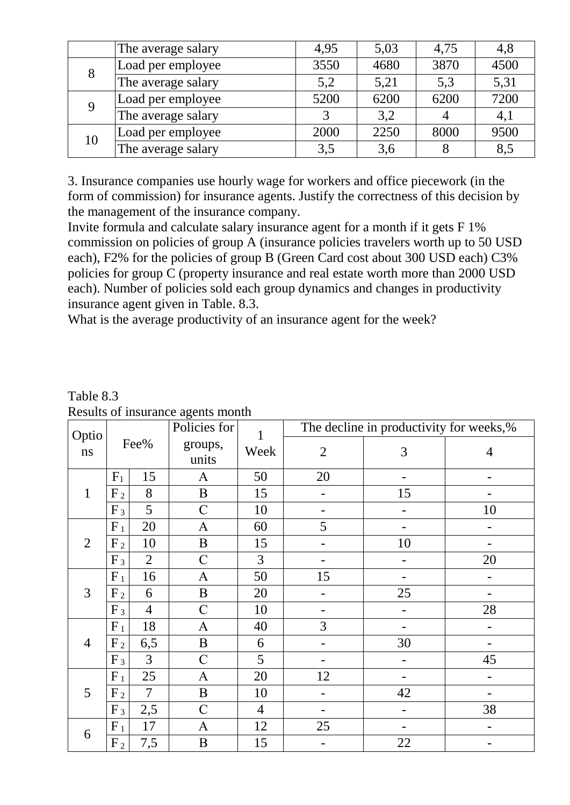|    | The average salary | 4,95 | 5,03 | 4,75 | 4,8  |
|----|--------------------|------|------|------|------|
|    | Load per employee  | 3550 | 4680 | 3870 | 4500 |
|    | The average salary | 5,2  | 5,21 | 5,3  | 5,31 |
| 9  | Load per employee  | 5200 | 6200 | 6200 | 7200 |
|    | The average salary |      | 3,2  |      | 4,1  |
|    | Load per employee  | 2000 | 2250 | 8000 | 9500 |
| 10 | The average salary | 3,5  | 3,6  |      | 8,5  |

3. Insurance companies use hourly wage for workers and office piecework (in the form of commission) for insurance agents. Justify the correctness of this decision by the management of the insurance company.

Invite formula and calculate salary insurance agent for a month if it gets F 1% commission on policies of group A (insurance policies travelers worth up to 50 USD each), F2% for the policies of group B (Green Card cost about 300 USD each) C3% policies for group C (property insurance and real estate worth more than 2000 USD each). Number of policies sold each group dynamics and changes in productivity insurance agent given in Table. 8.3.

What is the average productivity of an insurance agent for the week?

|                | Optio<br>Fee%  |                | reserve of modelance agence momen<br>Policies for | $\mathbf{1}$   |                | The decline in productivity for weeks,% |                   |
|----------------|----------------|----------------|---------------------------------------------------|----------------|----------------|-----------------------------------------|-------------------|
| $\bf ns$       |                |                | groups,<br>units                                  | Week           | $\mathfrak{2}$ | 3                                       | $\overline{4}$    |
|                | $F_1$          | 15             | A                                                 | 50             | 20             |                                         |                   |
| $\mathbf{1}$   | F <sub>2</sub> | 8              | $\, {\bf B}$                                      | 15             |                | 15                                      |                   |
|                | $F_3$          | 5              | $\mathcal{C}$                                     | 10             |                |                                         | 10                |
|                | $F_1$          | 20             | A                                                 | 60             | 5              |                                         |                   |
| $\overline{2}$ | F <sub>2</sub> | 10             | $\, {\bf B}$                                      | 15             | ۰              | 10                                      |                   |
|                | $F_3$          | $\overline{2}$ | $\mathcal{C}$                                     | $\overline{3}$ |                |                                         | 20                |
|                | $F_1$          | 16             | $\mathbf{A}$                                      | 50             | 15             |                                         |                   |
| 3              | F <sub>2</sub> | 6              | $\, {\bf B}$                                      | 20             |                | 25                                      |                   |
|                | $F_3$          | $\overline{4}$ | $\overline{C}$                                    | 10             |                |                                         | 28                |
|                | $F_1$          | 18             | $\mathbf{A}$                                      | 40             | 3              |                                         |                   |
| $\overline{4}$ | F <sub>2</sub> | 6,5            | $\, {\bf B}$                                      | 6              |                | 30                                      |                   |
|                | $F_3$          | 3              | $\mathbf C$                                       | 5              |                |                                         | 45                |
|                | $F_1$          | 25             | $\mathbf{A}$                                      | 20             | 12             |                                         | $\qquad \qquad -$ |
| 5              | F <sub>2</sub> | $\overline{7}$ | $\bf{B}$                                          | 10             |                | 42                                      | -                 |
|                | $F_3$          | 2,5            | $\mathcal{C}$                                     | $\overline{4}$ |                |                                         | 38                |
| 6              | $F_1$          | 17             | $\mathbf{A}$                                      | 12             | 25             |                                         |                   |
|                | F <sub>2</sub> | 7,5            | $\, {\bf B}$                                      | 15             |                | 22                                      |                   |

Table 8.3 Results of insurance agents month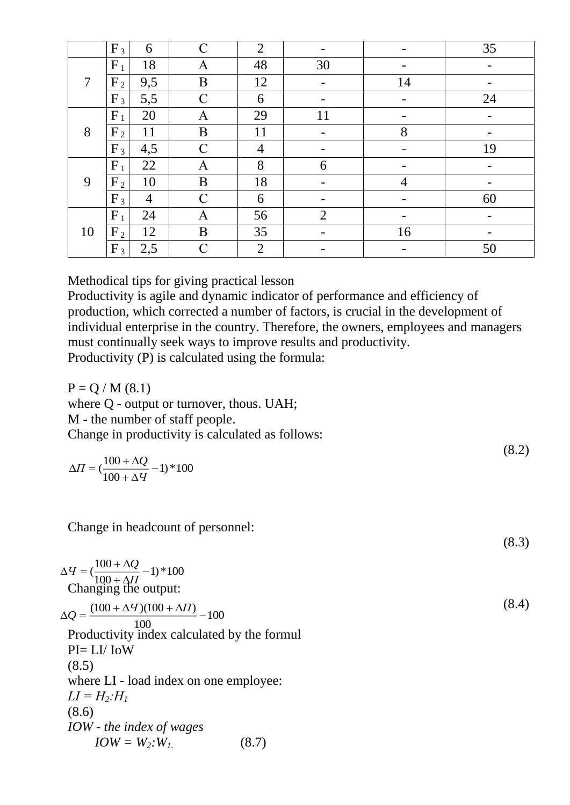|    | $F_3$          | 6              | $\mathbf C$      | $\overline{2}$ |                          |    | 35 |
|----|----------------|----------------|------------------|----------------|--------------------------|----|----|
|    | $F_1$          | 18             | A                | 48             | 30                       |    |    |
| 7  | F <sub>2</sub> | 9,5            | B                | 12             | $\overline{\phantom{a}}$ | 14 |    |
|    | $F_3$          | 5,5            | $\mathcal{C}$    | 6              | -                        |    | 24 |
|    | $F_1$          | 20             | $\mathbf{A}$     | 29             | 11                       |    |    |
| 8  | F <sub>2</sub> | 11             | $\boldsymbol{B}$ | 11             |                          | 8  |    |
|    | $F_3$          | 4,5            | $\mathbf C$      | $\overline{4}$ |                          |    | 19 |
|    | $F_1$          | 22             | A                | 8              | 6                        |    | -  |
| 9  | F <sub>2</sub> | 10             | $\boldsymbol{B}$ | 18             |                          | 4  |    |
|    | $F_3$          | $\overline{4}$ | $\mathbf C$      | 6              |                          |    | 60 |
|    | $F_1$          | 24             | A                | 56             | $\overline{2}$           |    |    |
| 10 | $F_2$          | 12             | $\bf{B}$         | 35             | -                        | 16 | -  |
|    | $F_3$          | 2,5            | $\mathbf C$      | $\overline{2}$ |                          |    | 50 |

Methodical tips for giving practical lesson

Productivity is agile and dynamic indicator of performance and efficiency of production, which corrected a number of factors, is crucial in the development of individual enterprise in the country. Therefore, the owners, employees and managers must continually seek ways to improve results and productivity. Productivity (P) is calculated using the formula:

 $P = Q / M (8.1)$ where Q - output or turnover, thous. UAH; M - the number of staff people. Change in productivity is calculated as follows:

$$
\Delta H = \left(\frac{100 + \Delta Q}{100 + \Delta Y} - 1\right) * 100
$$

 $(8.2)$ 

(8.3)

Change in headcount of personnel:

 $(\frac{100 + \Delta Q}{100 + \Delta H} - 1) * 100$  $\Delta$  $q = (\frac{100 + \Delta}{\sqrt{2}})$ *П*  $q = \left(\frac{100 + \Delta Q}{\Delta}\right)$ 100 100  $\frac{(100 + \Delta U)(100 + \Delta \Pi)}{}$  $\Delta Q = \frac{(100 + \Delta T)(100 + \Delta \Pi)}{100}$ Changing the output: (8.4) Productivity index calculated by the formul PI= LI/ IoW (8.5) where LI - load index on one employee:  $LI = H_2$ *:H<sub>1</sub>* (8.6) *IOW - the index of wages*  $IOW = W_2$ *:*  $W_1$  (8.7)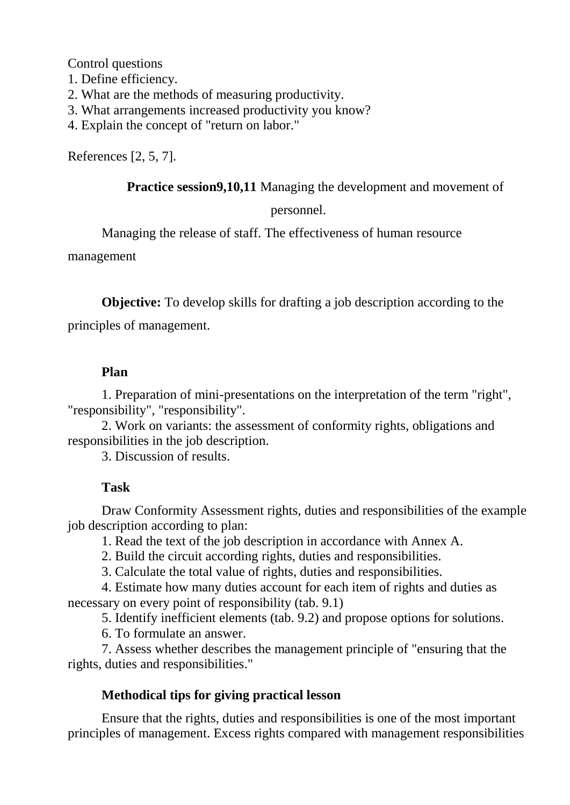Control questions

- 1. Define efficiency.
- 2. What are the methods of measuring productivity.
- 3. What arrangements increased productivity you know?
- 4. Explain the concept of "return on labor."

References [2, 5, 7].

**Practice session9,10,11** Managing the development and movement of

#### personnel.

Managing the release of staff. The effectiveness of human resource

management

**Objective:** To develop skills for drafting a job description according to the

principles of management.

### **Plan**

1. Preparation of mini-presentations on the interpretation of the term "right", "responsibility", "responsibility".

2. Work on variants: the assessment of conformity rights, obligations and responsibilities in the job description.

3. Discussion of results.

# **Task**

Draw Conformity Assessment rights, duties and responsibilities of the example job description according to plan:

1. Read the text of the job description in accordance with Annex A.

2. Build the circuit according rights, duties and responsibilities.

3. Calculate the total value of rights, duties and responsibilities.

4. Estimate how many duties account for each item of rights and duties as necessary on every point of responsibility (tab. 9.1)

5. Identify inefficient elements (tab. 9.2) and propose options for solutions.

6. To formulate an answer.

7. Assess whether describes the management principle of "ensuring that the rights, duties and responsibilities."

# **Methodical tips for giving practical lesson**

Ensure that the rights, duties and responsibilities is one of the most important principles of management. Excess rights compared with management responsibilities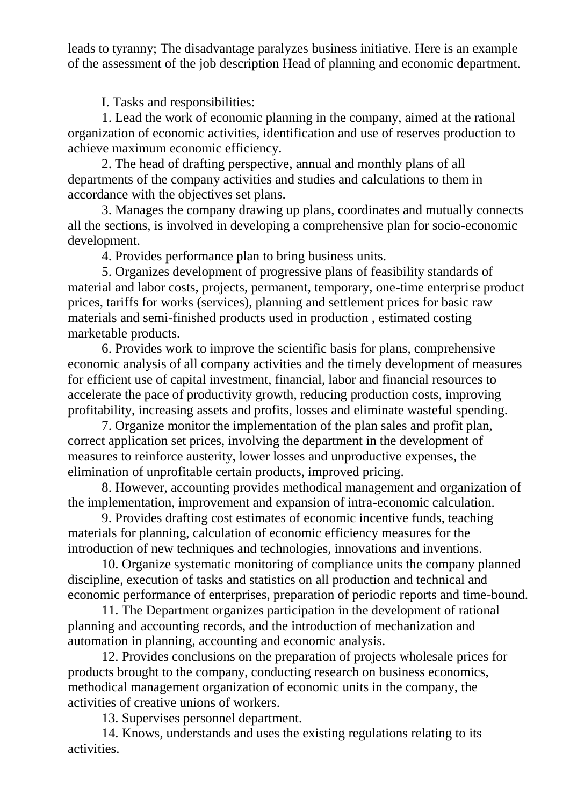leads to tyranny; The disadvantage paralyzes business initiative. Here is an example of the assessment of the job description Head of planning and economic department.

I. Tasks and responsibilities:

1. Lead the work of economic planning in the company, aimed at the rational organization of economic activities, identification and use of reserves production to achieve maximum economic efficiency.

2. The head of drafting perspective, annual and monthly plans of all departments of the company activities and studies and calculations to them in accordance with the objectives set plans.

3. Manages the company drawing up plans, coordinates and mutually connects all the sections, is involved in developing a comprehensive plan for socio-economic development.

4. Provides performance plan to bring business units.

5. Organizes development of progressive plans of feasibility standards of material and labor costs, projects, permanent, temporary, one-time enterprise product prices, tariffs for works (services), planning and settlement prices for basic raw materials and semi-finished products used in production , estimated costing marketable products.

6. Provides work to improve the scientific basis for plans, comprehensive economic analysis of all company activities and the timely development of measures for efficient use of capital investment, financial, labor and financial resources to accelerate the pace of productivity growth, reducing production costs, improving profitability, increasing assets and profits, losses and eliminate wasteful spending.

7. Organize monitor the implementation of the plan sales and profit plan, correct application set prices, involving the department in the development of measures to reinforce austerity, lower losses and unproductive expenses, the elimination of unprofitable certain products, improved pricing.

8. However, accounting provides methodical management and organization of the implementation, improvement and expansion of intra-economic calculation.

9. Provides drafting cost estimates of economic incentive funds, teaching materials for planning, calculation of economic efficiency measures for the introduction of new techniques and technologies, innovations and inventions.

10. Organize systematic monitoring of compliance units the company planned discipline, execution of tasks and statistics on all production and technical and economic performance of enterprises, preparation of periodic reports and time-bound.

11. The Department organizes participation in the development of rational planning and accounting records, and the introduction of mechanization and automation in planning, accounting and economic analysis.

12. Provides conclusions on the preparation of projects wholesale prices for products brought to the company, conducting research on business economics, methodical management organization of economic units in the company, the activities of creative unions of workers.

13. Supervises personnel department.

14. Knows, understands and uses the existing regulations relating to its activities.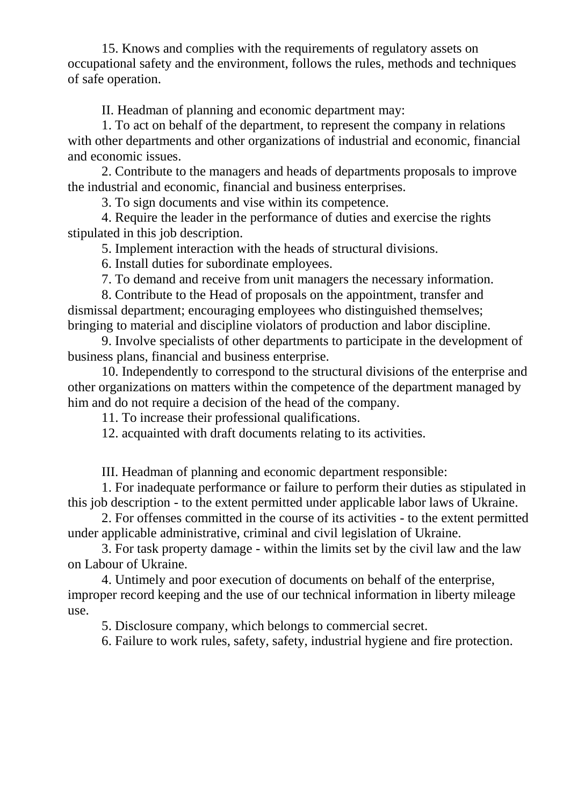15. Knows and complies with the requirements of regulatory assets on occupational safety and the environment, follows the rules, methods and techniques of safe operation.

II. Headman of planning and economic department may:

1. To act on behalf of the department, to represent the company in relations with other departments and other organizations of industrial and economic, financial and economic issues.

2. Contribute to the managers and heads of departments proposals to improve the industrial and economic, financial and business enterprises.

3. To sign documents and vise within its competence.

4. Require the leader in the performance of duties and exercise the rights stipulated in this job description.

5. Implement interaction with the heads of structural divisions.

6. Install duties for subordinate employees.

7. To demand and receive from unit managers the necessary information.

8. Contribute to the Head of proposals on the appointment, transfer and dismissal department; encouraging employees who distinguished themselves; bringing to material and discipline violators of production and labor discipline.

9. Involve specialists of other departments to participate in the development of business plans, financial and business enterprise.

10. Independently to correspond to the structural divisions of the enterprise and other organizations on matters within the competence of the department managed by him and do not require a decision of the head of the company.

11. To increase their professional qualifications.

12. acquainted with draft documents relating to its activities.

III. Headman of planning and economic department responsible:

1. For inadequate performance or failure to perform their duties as stipulated in this job description - to the extent permitted under applicable labor laws of Ukraine.

2. For offenses committed in the course of its activities - to the extent permitted under applicable administrative, criminal and civil legislation of Ukraine.

3. For task property damage - within the limits set by the civil law and the law on Labour of Ukraine.

4. Untimely and poor execution of documents on behalf of the enterprise, improper record keeping and the use of our technical information in liberty mileage use.

5. Disclosure company, which belongs to commercial secret.

6. Failure to work rules, safety, safety, industrial hygiene and fire protection.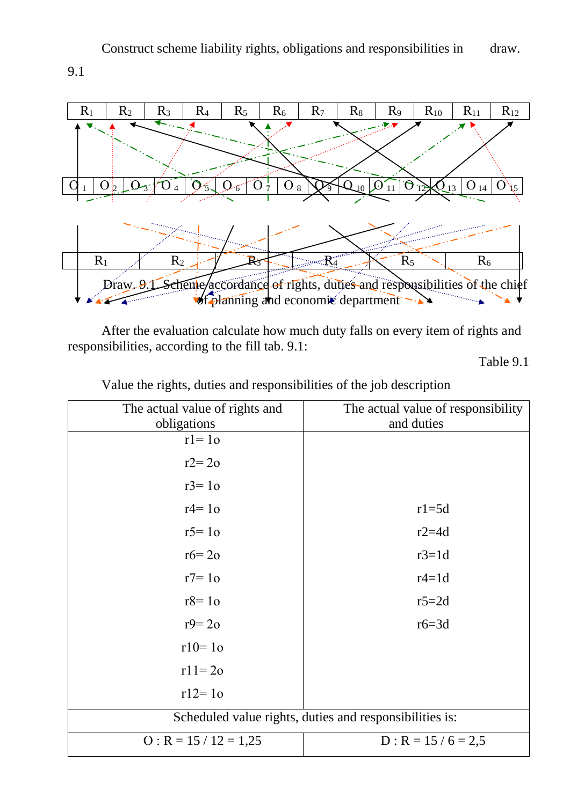Construct scheme liability rights, obligations and responsibilities in draw.

9.1



After the evaluation calculate how much duty falls on every item of rights and responsibilities, according to the fill tab. 9.1:

Table 9.1

| The actual value of rights and                          | The actual value of responsibility |  |  |  |  |  |
|---------------------------------------------------------|------------------------------------|--|--|--|--|--|
| obligations                                             | and duties                         |  |  |  |  |  |
| $r = 10$                                                |                                    |  |  |  |  |  |
| $r2=20$                                                 |                                    |  |  |  |  |  |
| $r3 = 10$                                               |                                    |  |  |  |  |  |
| $r4 = 10$                                               | $r1 = 5d$                          |  |  |  |  |  |
| $r5 = 10$                                               | $r2 = 4d$                          |  |  |  |  |  |
| $r6 = 20$                                               | $r3=1d$                            |  |  |  |  |  |
| $r7 = 10$                                               | $r4=1d$                            |  |  |  |  |  |
| $r8=10$                                                 | $r5 = 2d$                          |  |  |  |  |  |
| $r9 = 20$                                               | $r6 = 3d$                          |  |  |  |  |  |
| $r10 = 10$                                              |                                    |  |  |  |  |  |
| $r11 = 20$                                              |                                    |  |  |  |  |  |
| $r12 = 10$                                              |                                    |  |  |  |  |  |
| Scheduled value rights, duties and responsibilities is: |                                    |  |  |  |  |  |
| $O: R = 15 / 12 = 1,25$                                 | $D: R = 15 / 6 = 2.5$              |  |  |  |  |  |

Value the rights, duties and responsibilities of the job description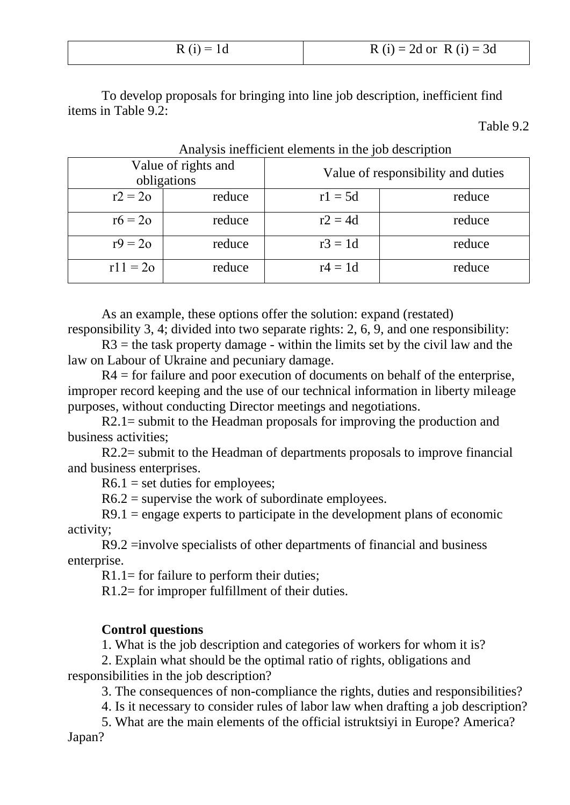| $R(i) = 1d$ | $R(i) = 2d$ or $R(i) = 3d$ |
|-------------|----------------------------|
|             |                            |

To develop proposals for bringing into line job description, inefficient find items in Table 9.2:

Table 9.2

|            | Value of rights and<br>obligations | Value of responsibility and duties |        |  |  |  |
|------------|------------------------------------|------------------------------------|--------|--|--|--|
| $r2 = 2o$  | reduce                             | $r1 = 5d$                          | reduce |  |  |  |
| $r6 = 2o$  | reduce                             | $r2 = 4d$                          | reduce |  |  |  |
| $r9 = 2o$  | reduce                             | $r3 = 1d$                          | reduce |  |  |  |
| $r11 = 20$ | reduce                             | $r4 = 1d$                          | reduce |  |  |  |

Analysis inefficient elements in the job description

As an example, these options offer the solution: expand (restated) responsibility 3, 4; divided into two separate rights: 2, 6, 9, and one responsibility:

 $R3$  = the task property damage - within the limits set by the civil law and the law on Labour of Ukraine and pecuniary damage.

 $R4$  = for failure and poor execution of documents on behalf of the enterprise, improper record keeping and the use of our technical information in liberty mileage purposes, without conducting Director meetings and negotiations.

R2.1= submit to the Headman proposals for improving the production and business activities;

R2.2= submit to the Headman of departments proposals to improve financial and business enterprises.

 $R6.1$  = set duties for employees;

 $R6.2$  = supervise the work of subordinate employees.

 $R9.1$  = engage experts to participate in the development plans of economic activity;

R9.2 =involve specialists of other departments of financial and business enterprise.

R1.1= for failure to perform their duties;

R1.2= for improper fulfillment of their duties.

#### **Control questions**

1. What is the job description and categories of workers for whom it is?

2. Explain what should be the optimal ratio of rights, obligations and responsibilities in the job description?

3. The consequences of non-compliance the rights, duties and responsibilities?

4. Is it necessary to consider rules of labor law when drafting a job description?

5. What are the main elements of the official istruktsiyi in Europe? America? Japan?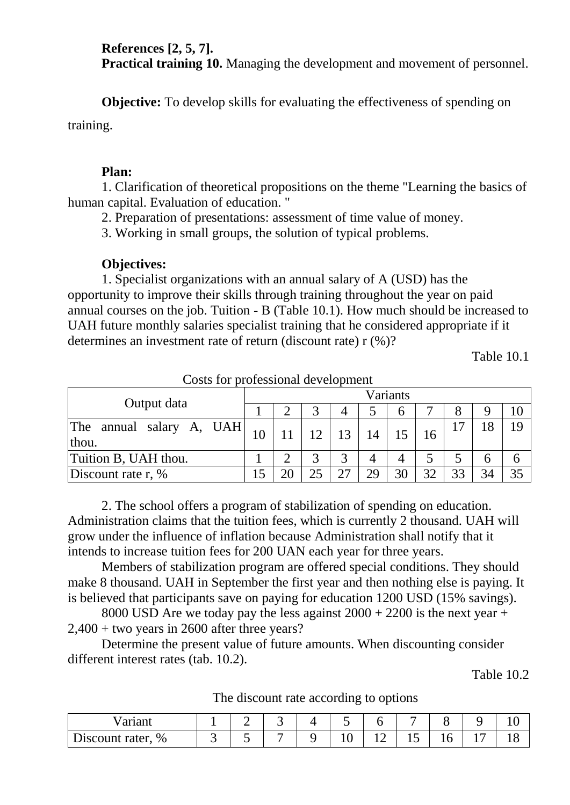**References [2, 5, 7]. Practical training 10.** Managing the development and movement of personnel.

**Objective:** To develop skills for evaluating the effectiveness of spending on training.

#### **Plan:**

1. Clarification of theoretical propositions on the theme "Learning the basics of human capital. Evaluation of education. "

2. Preparation of presentations: assessment of time value of money.

3. Working in small groups, the solution of typical problems.

### **Objectives:**

1. Specialist organizations with an annual salary of A (USD) has the opportunity to improve their skills through training throughout the year on paid annual courses on the job. Tuition - B (Table 10.1). How much should be increased to UAH future monthly salaries specialist training that he considered appropriate if it determines an investment rate of return (discount rate) r (%)?

Table 10.1

| Output data                          |    | Variants |    |              |            |              |    |        |    |  |
|--------------------------------------|----|----------|----|--------------|------------|--------------|----|--------|----|--|
|                                      |    |          |    |              |            | <sub>0</sub> |    |        |    |  |
| The<br>annual salary A, UAH<br>thou. | 10 |          |    | 13           | 14         |              |    |        | 18 |  |
| Tuition B, UAH thou.                 |    |          | ⌒  | $\mathbf{c}$ |            |              |    |        |    |  |
| Discount rate r, $%$                 |    |          | 25 | $\gamma$     | $\gamma$ Q | 30           | 32 | $\cap$ | 34 |  |

Costs for professional development

2. The school offers a program of stabilization of spending on education. Administration claims that the tuition fees, which is currently 2 thousand. UAH will grow under the influence of inflation because Administration shall notify that it intends to increase tuition fees for 200 UAN each year for three years.

Members of stabilization program are offered special conditions. They should make 8 thousand. UAH in September the first year and then nothing else is paying. It is believed that participants save on paying for education 1200 USD (15% savings).

8000 USD Are we today pay the less against  $2000 + 2200$  is the next year +  $2,400 +$  two years in 2600 after three years?

Determine the present value of future amounts. When discounting consider different interest rates (tab. 10.2).

Table 10.2

| Variant              |   |  |   |      |    |    |          |                |
|----------------------|---|--|---|------|----|----|----------|----------------|
| %<br>Discount rater, | ັ |  | ᆂ | $ -$ | ⊥ັ | ⊥∪ | <u>.</u> | $\overline{ }$ |

The discount rate according to options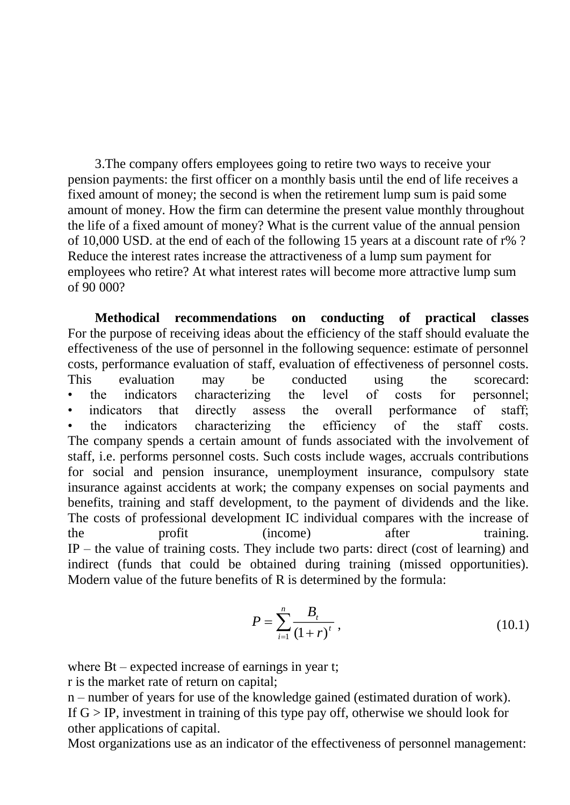3.The company offers employees going to retire two ways to receive your pension payments: the first officer on a monthly basis until the end of life receives a fixed amount of money; the second is when the retirement lump sum is paid some amount of money. How the firm can determine the present value monthly throughout the life of a fixed amount of money? What is the current value of the annual pension of 10,000 USD. at the end of each of the following 15 years at a discount rate of r% ? Reduce the interest rates increase the attractiveness of a lump sum payment for employees who retire? At what interest rates will become more attractive lump sum of 90 000?

**Methodical recommendations on conducting of practical classes** For the purpose of receiving ideas about the efficiency of the staff should evaluate the effectiveness of the use of personnel in the following sequence: estimate of personnel costs, performance evaluation of staff, evaluation of effectiveness of personnel costs. This evaluation may be conducted using the scorecard: • the indicators characterizing the level of costs for personnel; indicators that directly assess the overall performance of staff: the indicators characterizing the efficiency of the staff costs. The company spends a certain amount of funds associated with the involvement of staff, i.e. performs personnel costs. Such costs include wages, accruals contributions for social and pension insurance, unemployment insurance, compulsory state insurance against accidents at work; the company expenses on social payments and benefits, training and staff development, to the payment of dividends and the like. The costs of professional development IC individual compares with the increase of the profit (income) after training. IP – the value of training costs. They include two parts: direct (cost of learning) and indirect (funds that could be obtained during training (missed opportunities). Modern value of the future benefits of R is determined by the formula:

$$
P = \sum_{i=1}^{n} \frac{B_t}{(1+r)^t},
$$
\n(10.1)

where Bt – expected increase of earnings in year t;

r is the market rate of return on capital;

n – number of years for use of the knowledge gained (estimated duration of work). If  $G > IP$ , investment in training of this type pay off, otherwise we should look for other applications of capital.

Most organizations use as an indicator of the effectiveness of personnel management: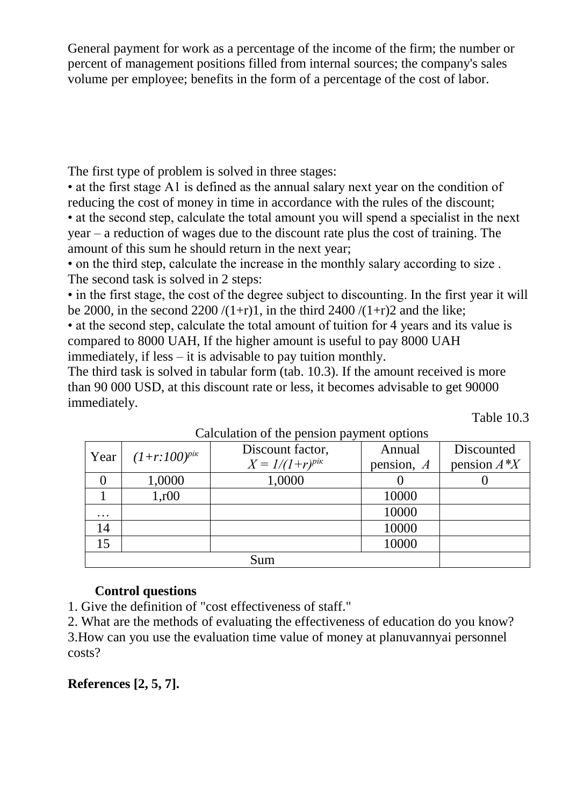General payment for work as a percentage of the income of the firm; the number or percent of management positions filled from internal sources; the company's sales volume per employee; benefits in the form of a percentage of the cost of labor.

The first type of problem is solved in three stages:

• at the first stage A1 is defined as the annual salary next year on the condition of reducing the cost of money in time in accordance with the rules of the discount; • at the second step, calculate the total amount you will spend a specialist in the next year – a reduction of wages due to the discount rate plus the cost of training. The amount of this sum he should return in the next year;

• on the third step, calculate the increase in the monthly salary according to size . The second task is solved in 2 steps:

• in the first stage, the cost of the degree subject to discounting. In the first year it will be 2000, in the second 2200  $/(1+r)1$ , in the third 2400  $/(1+r)2$  and the like;

• at the second step, calculate the total amount of tuition for 4 years and its value is compared to 8000 UAH, If the higher amount is useful to pay 8000 UAH immediately, if less – it is advisable to pay tuition monthly.

The third task is solved in tabular form (tab. 10.3). If the amount received is more than 90 000 USD, at this discount rate or less, it becomes advisable to get 90000 immediately.

Table 10.3

| $\alpha$ can contribute the periodic particle operations |                     |              |                |  |  |  |  |  |
|----------------------------------------------------------|---------------------|--------------|----------------|--|--|--|--|--|
|                                                          | Discount factor,    | Annual       | Discounted     |  |  |  |  |  |
|                                                          | $X = 1/(1+r)^{pix}$ | pension, $A$ | pension $A^*Y$ |  |  |  |  |  |
| 1,0000                                                   | 1,0000              |              |                |  |  |  |  |  |
| 1, r00                                                   |                     | 10000        |                |  |  |  |  |  |
|                                                          |                     | 10000        |                |  |  |  |  |  |
|                                                          |                     | 10000        |                |  |  |  |  |  |
|                                                          |                     | 10000        |                |  |  |  |  |  |
|                                                          | Sum                 |              |                |  |  |  |  |  |
|                                                          | $(1+r:100)^{pix}$   |              |                |  |  |  |  |  |

Calculation of the pension payment options

### **Control questions**

1. Give the definition of "cost effectiveness of staff."

2. What are the methods of evaluating the effectiveness of education do you know? 3.How can you use the evaluation time value of money at planuvannyai personnel costs?

**References [2, 5, 7].**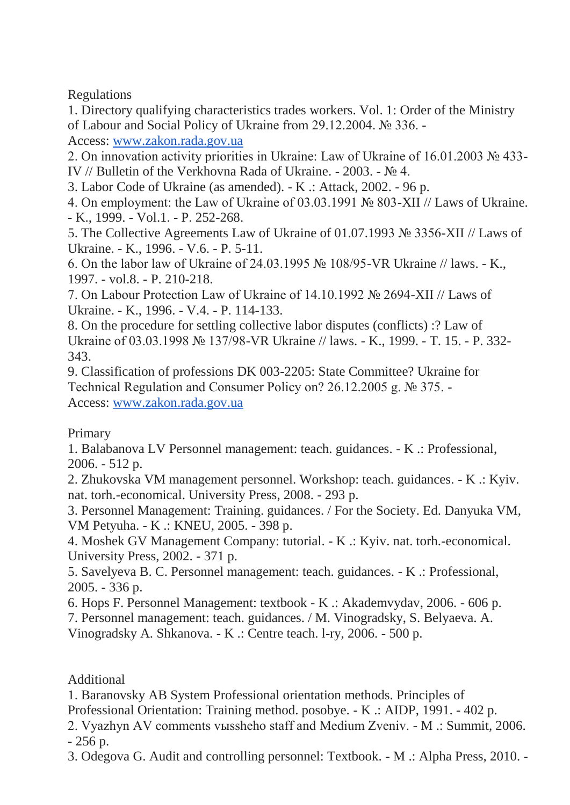Regulations

1. Directory qualifying characteristics trades workers. Vol. 1: Order of the Ministry of Labour and Social Policy of Ukraine from 29.12.2004. № 336. -

Access: [www.zakon.rada.gov.ua](http://www.zakon.rada.gov.ua/)

2. On innovation activity priorities in Ukraine: Law of Ukraine of 16.01.2003 № 433- IV // Bulletin of the Verkhovna Rada of Ukraine. - 2003. - № 4.

3. Labor Code of Ukraine (as amended). - K .: Attack, 2002. - 96 p.

4. On employment: the Law of Ukraine of 03.03.1991 № 803-XII // Laws of Ukraine. - K., 1999. - Vol.1. - P. 252-268.

5. The Collective Agreements Law of Ukraine of 01.07.1993 № 3356-XII // Laws of Ukraine. - K., 1996. - V.6. - P. 5-11.

6. On the labor law of Ukraine of 24.03.1995 № 108/95-VR Ukraine // laws. - K., 1997. - vol.8. - P. 210-218.

7. On Labour Protection Law of Ukraine of 14.10.1992 № 2694-XII // Laws of Ukraine. - K., 1996. - V.4. - P. 114-133.

8. On the procedure for settling collective labor disputes (conflicts) :? Law of Ukraine of 03.03.1998 № 137/98-VR Ukraine // laws. - K., 1999. - T. 15. - P. 332- 343.

9. Classification of professions DK 003-2205: State Committee? Ukraine for Technical Regulation and Consumer Policy on? 26.12.2005 g. № 375. - Access: [www.zakon.rada.gov.ua](http://www.zakon.rada.gov.ua/)

# Primary

1. Balabanova LV Personnel management: teach. guidances. - K .: Professional, 2006. - 512 p.

2. Zhukovska VM management personnel. Workshop: teach. guidances. - K .: Kyiv. nat. torh.-economical. University Press, 2008. - 293 p.

3. Personnel Management: Training. guidances. / For the Society. Ed. Danyuka VM, VM Petyuha. - K .: KNEU, 2005. - 398 p.

4. Moshek GV Management Company: tutorial. - K .: Kyiv. nat. torh.-economical. University Press, 2002. - 371 p.

5. Savelyeva B. C. Personnel management: teach. guidances. - K .: Professional, 2005. - 336 p.

6. Hops F. Personnel Management: textbook - K .: Akademvydav, 2006. - 606 p.

7. Personnel management: teach. guidances. / M. Vinogradsky, S. Belyaeva. A.

Vinogradsky A. Shkanova. - K .: Centre teach. l-ry, 2006. - 500 p.

Additional

1. Baranovsky AB System Professional orientation methods. Principles of

Professional Orientation: Training method. posobye. - K .: AIDP, 1991. - 402 p.

2. Vyazhyn AV comments vыssheho staff and Medium Zveniv. - M .: Summit, 2006. - 256 p.

3. Odegova G. Audit and controlling personnel: Textbook. - M .: Alpha Press, 2010. -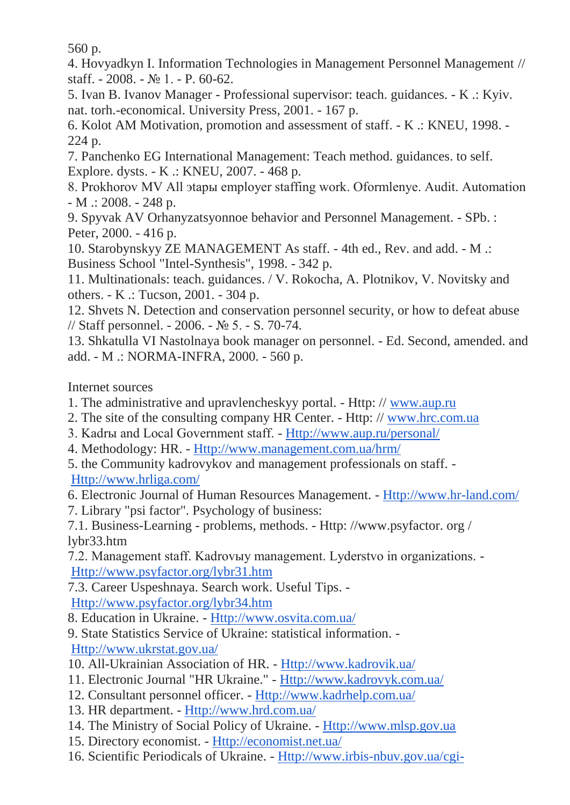560 p.

4. Hovyadkyn I. Information Technologies in Management Personnel Management // staff. - 2008. -  $\mathbb{N}$  1. - P. 60-62.

5. Ivan B. Ivanov Manager - Professional supervisor: teach. guidances. - K .: Kyiv. nat. torh.-economical. University Press, 2001. - 167 p.

6. Kolot AM Motivation, promotion and assessment of staff. - K .: KNEU, 1998. - 224 p.

7. Panchenko EG International Management: Teach method. guidances. to self. Explore. dysts. - K .: KNEU, 2007. - 468 p.

8. Prokhorov MV All эtapы employer staffing work. Oformlenye. Audit. Automation - M .: 2008. - 248 p.

9. Spyvak AV Orhanyzatsyonnoe behavior and Personnel Management. - SPb. : Peter, 2000. - 416 p.

10. Starobynskyy ZE MANAGEMENT As staff. - 4th ed., Rev. and add. - M .: Business School "Intel-Synthesis", 1998. - 342 p.

11. Multinationals: teach. guidances. / V. Rokocha, A. Plotnikov, V. Novitsky and others. - K .: Tucson, 2001. - 304 p.

12. Shvets N. Detection and conservation personnel security, or how to defeat abuse // Staff personnel. - 2006. - № 5. - S. 70-74.

13. Shkatulla VI Nastolnaya book manager on personnel. - Ed. Second, amended. and add. - M .: NORMA-INFRA, 2000. - 560 p.

Internet sources

- 1. The administrative and upravlencheskyy portal. Http: // [www.aup.ru](http://www.aup.ru/)
- 2. The site of the consulting company HR Center. Http: // [www.hrc.com.ua](http://www.hrc.com.ua/)
- 3. Kadrы and Local Government staff. [Http://www.aup.ru/personal/](http://www.aup.ru/personal/)
- 4. Methodology: HR. [Http://www.management.com.ua/hrm/](http://www.management.com.ua/hrm/)
- 5. the Community kadrovykov and management professionals on staff. [Http://www.hrliga.com/](http://www.hrliga.com/)
- 6. Electronic Journal of Human Resources Management. [Http://www.hr-land.com/](http://www.hr-land.com/)
- 7. Library "psi factor". Psychology of business:

7.1. Business-Learning - problems, methods. - Http: //www.psyfactor. org / lybr33.htm

7.2. Management staff. Kadrovыy management. Lyderstvo in organizations. - [Http://www.psyfactor.org/lybr31.htm](http://www.psyfactor.org/lybr31.htm)

7.3. Career Uspeshnaya. Search work. Useful Tips. -

[Http://www.psyfactor.org/lybr34.htm](http://www.psyfactor.org/lybr34.htm)

8. Education in Ukraine. - [Http://www.osvita.com.ua/](http://www.osvita.com.ua/)

- 9. State Statistics Service of Ukraine: statistical information. [Http://www.ukrstat.gov.ua/](http://www.ukrstat.gov.ua/)
- 10. All-Ukrainian Association of HR. [Http://www.kadrovik.ua/](http://www.kadrovik.ua/)
- 11. Electronic Journal "HR Ukraine." [Http://www.kadrovyk.com.ua/](http://www.kadrovyk.com.ua/)
- 12. Consultant personnel officer. [Http://www.kadrhelp.com.ua/](http://www.kadrhelp.com.ua/)
- 13. HR department. [Http://www.hrd.com.ua/](http://www.hrd.com.ua/)
- 14. The Ministry of Social Policy of Ukraine. [Http://www.mlsp.gov.ua](http://www.mlsp.gov.ua/)
- 15. Directory economist. [Http://economist.net.ua/](http://economist.net.ua/)
- 16. Scientific Periodicals of Ukraine. [Http://www.irbis-nbuv.gov.ua/cgi-](http://www.irbis-nbuv.gov.ua/cgi-bin/irbis_nbuv/)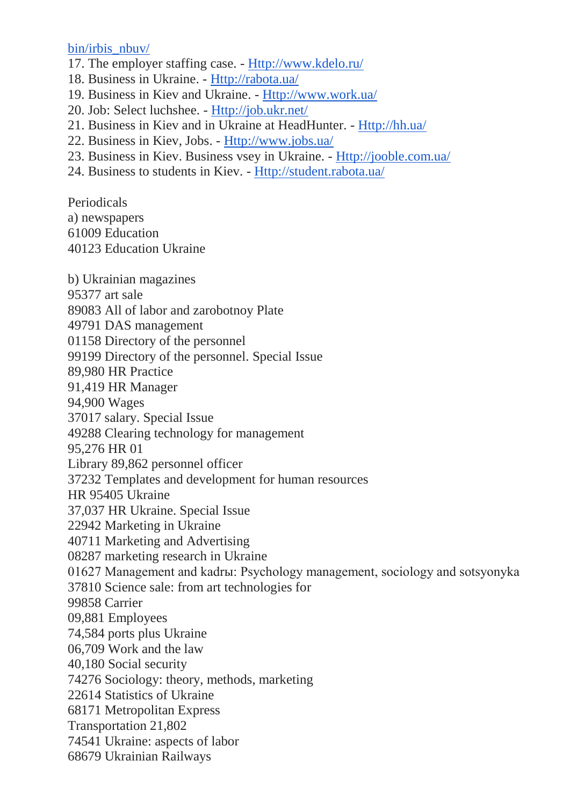[bin/irbis\\_nbuv/](http://www.irbis-nbuv.gov.ua/cgi-bin/irbis_nbuv/)

- 17. The employer staffing case. [Http://www.kdelo.ru/](http://www.kdelo.ru/)
- 18. Business in Ukraine. [Http://rabota.ua/](http://rabota.ua/)
- 19. Business in Kiev and Ukraine. [Http://www.work.ua/](http://www.work.ua/)
- 20. Job: Select luchshee. [Http://job.ukr.net/](http://job.ukr.net/)
- 21. Business in Kiev and in Ukraine at HeadHunter. [Http://hh.ua/](http://hh.ua/)
- 22. Business in Kiev, Jobs. [Http://www.jobs.ua/](http://www.jobs.ua/)
- 23. Business in Kiev. Business vsey in Ukraine. [Http://jooble.com.ua/](http://jooble.com.ua/)
- 24. Business to students in Kiev. [Http://student.rabota.ua/](http://student.rabota.ua/)

Periodicals

a) newspapers

61009 Education

40123 Education Ukraine

b) Ukrainian magazines

95377 art sale

89083 All of labor and zarobotnoy Plate

49791 DAS management

01158 Directory of the personnel

99199 Directory of the personnel. Special Issue

89,980 HR Practice

91,419 HR Manager

94,900 Wages

37017 salary. Special Issue

49288 Clearing technology for management

95,276 HR 01

Library 89,862 personnel officer

37232 Templates and development for human resources

HR 95405 Ukraine

37,037 HR Ukraine. Special Issue

22942 Marketing in Ukraine

40711 Marketing and Advertising

08287 marketing research in Ukraine

01627 Management and kadrы: Psychology management, sociology and sotsyonyka

37810 Science sale: from art technologies for

99858 Carrier

09,881 Employees

74,584 ports plus Ukraine

06,709 Work and the law

40,180 Social security

74276 Sociology: theory, methods, marketing

22614 Statistics of Ukraine

68171 Metropolitan Express

Transportation 21,802

74541 Ukraine: aspects of labor

68679 Ukrainian Railways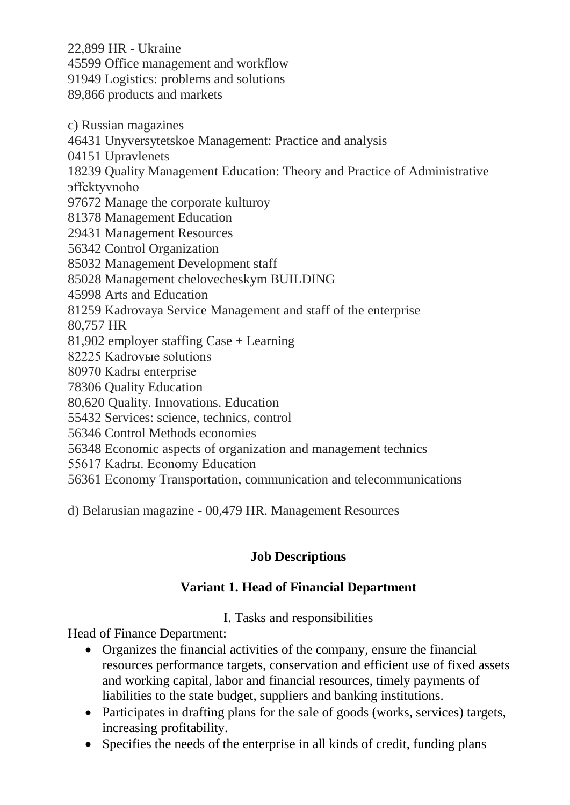22,899 HR - Ukraine 45599 Office management and workflow 91949 Logistics: problems and solutions 89,866 products and markets

c) Russian magazines 46431 Unyversytetskoe Management: Practice and analysis 04151 Upravlenets 18239 Quality Management Education: Theory and Practice of Administrative эffektyvnoho 97672 Manage the corporate kulturoy 81378 Management Education 29431 Management Resources 56342 Control Organization 85032 Management Development staff 85028 Management chelovecheskym BUILDING 45998 Arts and Education 81259 Kadrovaya Service Management and staff of the enterprise 80,757 HR 81,902 employer staffing Case + Learning 82225 Kadrovыe solutions 80970 Kadrы enterprise 78306 Quality Education 80,620 Quality. Innovations. Education 55432 Services: science, technics, control 56346 Control Methods economies 56348 Economic aspects of organization and management technics 55617 Kadrы. Economy Education 56361 Economy Transportation, communication and telecommunications

d) Belarusian magazine - 00,479 HR. Management Resources

# **Job Descriptions**

# **Variant 1. Head of Financial Department**

I. Tasks and responsibilities

Head of Finance Department:

- Organizes the financial activities of the company, ensure the financial resources performance targets, conservation and efficient use of fixed assets and working capital, labor and financial resources, timely payments of liabilities to the state budget, suppliers and banking institutions.
- Participates in drafting plans for the sale of goods (works, services) targets, increasing profitability.
- Specifies the needs of the enterprise in all kinds of credit, funding plans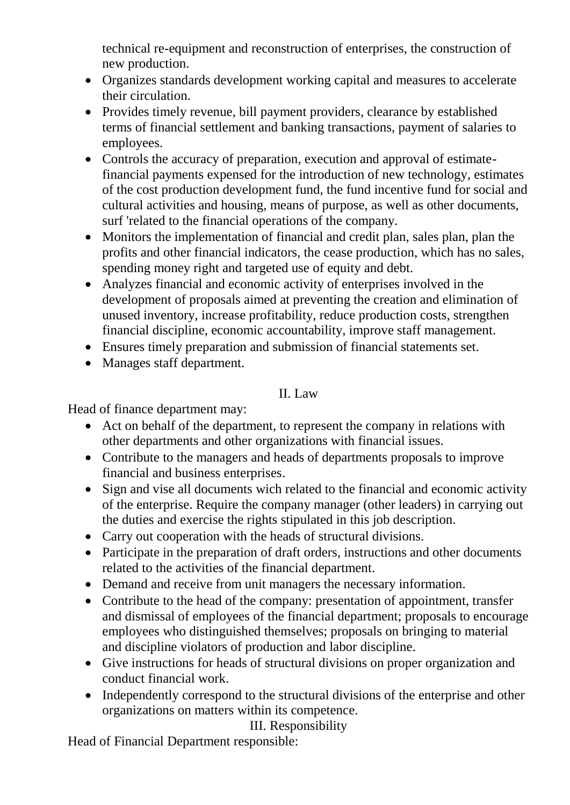technical re-equipment and reconstruction of enterprises, the construction of new production.

- Organizes standards development working capital and measures to accelerate their circulation.
- Provides timely revenue, bill payment providers, clearance by established terms of financial settlement and banking transactions, payment of salaries to employees.
- Controls the accuracy of preparation, execution and approval of estimatefinancial payments expensed for the introduction of new technology, estimates of the cost production development fund, the fund incentive fund for social and cultural activities and housing, means of purpose, as well as other documents, surf 'related to the financial operations of the company.
- Monitors the implementation of financial and credit plan, sales plan, plan the profits and other financial indicators, the cease production, which has no sales, spending money right and targeted use of equity and debt.
- Analyzes financial and economic activity of enterprises involved in the development of proposals aimed at preventing the creation and elimination of unused inventory, increase profitability, reduce production costs, strengthen financial discipline, economic accountability, improve staff management.
- Ensures timely preparation and submission of financial statements set.
- Manages staff department.

### II. Law

Head of finance department may:

- Act on behalf of the department, to represent the company in relations with other departments and other organizations with financial issues.
- Contribute to the managers and heads of departments proposals to improve financial and business enterprises.
- Sign and vise all documents wich related to the financial and economic activity of the enterprise. Require the company manager (other leaders) in carrying out the duties and exercise the rights stipulated in this job description.
- Carry out cooperation with the heads of structural divisions.
- Participate in the preparation of draft orders, instructions and other documents related to the activities of the financial department.
- Demand and receive from unit managers the necessary information.
- Contribute to the head of the company: presentation of appointment, transfer and dismissal of employees of the financial department; proposals to encourage employees who distinguished themselves; proposals on bringing to material and discipline violators of production and labor discipline.
- Give instructions for heads of structural divisions on proper organization and conduct financial work.
- Independently correspond to the structural divisions of the enterprise and other organizations on matters within its competence.

# III. Responsibility

Head of Financial Department responsible: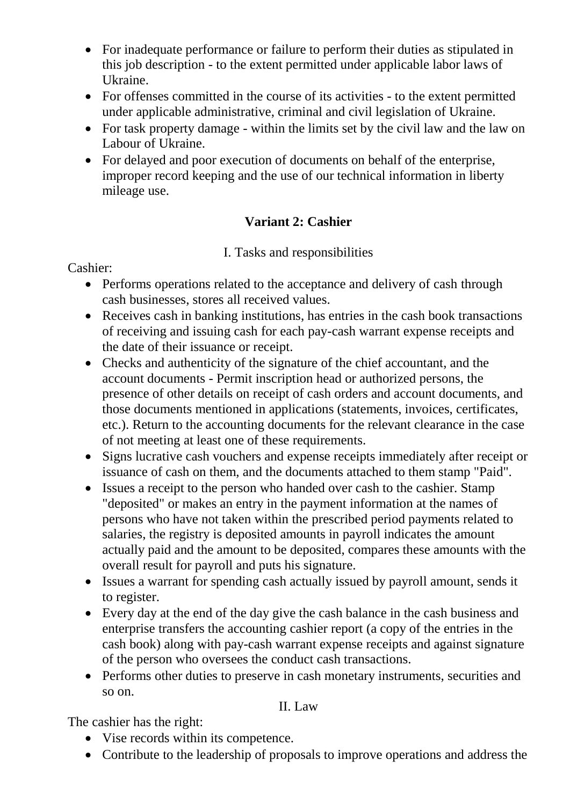- For inadequate performance or failure to perform their duties as stipulated in this job description - to the extent permitted under applicable labor laws of Ukraine.
- For offenses committed in the course of its activities to the extent permitted under applicable administrative, criminal and civil legislation of Ukraine.
- For task property damage within the limits set by the civil law and the law on Labour of Ukraine.
- For delayed and poor execution of documents on behalf of the enterprise, improper record keeping and the use of our technical information in liberty mileage use.

# **Variant 2: Cashier**

I. Tasks and responsibilities

#### Cashier:

- Performs operations related to the acceptance and delivery of cash through cash businesses, stores all received values.
- Receives cash in banking institutions, has entries in the cash book transactions of receiving and issuing cash for each pay-cash warrant expense receipts and the date of their issuance or receipt.
- Checks and authenticity of the signature of the chief accountant, and the account documents - Permit inscription head or authorized persons, the presence of other details on receipt of cash orders and account documents, and those documents mentioned in applications (statements, invoices, certificates, etc.). Return to the accounting documents for the relevant clearance in the case of not meeting at least one of these requirements.
- Signs lucrative cash vouchers and expense receipts immediately after receipt or issuance of cash on them, and the documents attached to them stamp "Paid".
- Issues a receipt to the person who handed over cash to the cashier. Stamp "deposited" or makes an entry in the payment information at the names of persons who have not taken within the prescribed period payments related to salaries, the registry is deposited amounts in payroll indicates the amount actually paid and the amount to be deposited, compares these amounts with the overall result for payroll and puts his signature.
- Issues a warrant for spending cash actually issued by payroll amount, sends it to register.
- Every day at the end of the day give the cash balance in the cash business and enterprise transfers the accounting cashier report (a copy of the entries in the cash book) along with pay-cash warrant expense receipts and against signature of the person who oversees the conduct cash transactions.
- Performs other duties to preserve in cash monetary instruments, securities and so on.

### II. Law

The cashier has the right:

- Vise records within its competence.
- Contribute to the leadership of proposals to improve operations and address the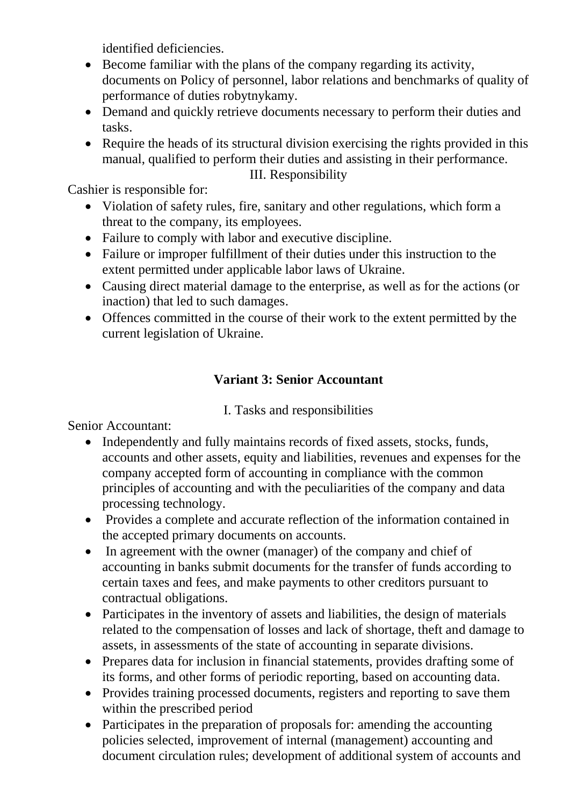identified deficiencies.

- Become familiar with the plans of the company regarding its activity, documents on Policy of personnel, labor relations and benchmarks of quality of performance of duties robytnykamy.
- Demand and quickly retrieve documents necessary to perform their duties and tasks.
- Require the heads of its structural division exercising the rights provided in this manual, qualified to perform their duties and assisting in their performance.

III. Responsibility

Cashier is responsible for:

- Violation of safety rules, fire, sanitary and other regulations, which form a threat to the company, its employees.
- Failure to comply with labor and executive discipline.
- Failure or improper fulfillment of their duties under this instruction to the extent permitted under applicable labor laws of Ukraine.
- Causing direct material damage to the enterprise, as well as for the actions (or inaction) that led to such damages.
- Offences committed in the course of their work to the extent permitted by the current legislation of Ukraine.

# **Variant 3: Senior Accountant**

### I. Tasks and responsibilities

Senior Accountant:

- Independently and fully maintains records of fixed assets, stocks, funds, accounts and other assets, equity and liabilities, revenues and expenses for the company accepted form of accounting in compliance with the common principles of accounting and with the peculiarities of the company and data processing technology.
- Provides a complete and accurate reflection of the information contained in the accepted primary documents on accounts.
- In agreement with the owner (manager) of the company and chief of accounting in banks submit documents for the transfer of funds according to certain taxes and fees, and make payments to other creditors pursuant to contractual obligations.
- Participates in the inventory of assets and liabilities, the design of materials related to the compensation of losses and lack of shortage, theft and damage to assets, in assessments of the state of accounting in separate divisions.
- Prepares data for inclusion in financial statements, provides drafting some of its forms, and other forms of periodic reporting, based on accounting data.
- Provides training processed documents, registers and reporting to save them within the prescribed period
- Participates in the preparation of proposals for: amending the accounting policies selected, improvement of internal (management) accounting and document circulation rules; development of additional system of accounts and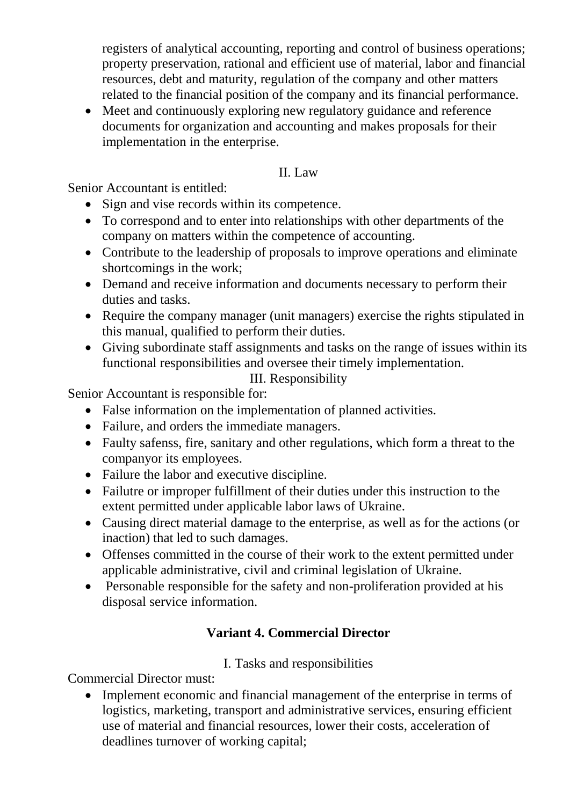registers of analytical accounting, reporting and control of business operations; property preservation, rational and efficient use of material, labor and financial resources, debt and maturity, regulation of the company and other matters related to the financial position of the company and its financial performance.

 Meet and continuously exploring new regulatory guidance and reference documents for organization and accounting and makes proposals for their implementation in the enterprise.

### II. Law

Senior Accountant is entitled:

- Sign and vise records within its competence.
- To correspond and to enter into relationships with other departments of the company on matters within the competence of accounting.
- Contribute to the leadership of proposals to improve operations and eliminate shortcomings in the work;
- Demand and receive information and documents necessary to perform their duties and tasks.
- Require the company manager (unit managers) exercise the rights stipulated in this manual, qualified to perform their duties.
- Giving subordinate staff assignments and tasks on the range of issues within its functional responsibilities and oversee their timely implementation.

III. Responsibility

Senior Accountant is responsible for:

- False information on the implementation of planned activities.
- Failure, and orders the immediate managers.
- Faulty safenss, fire, sanitary and other regulations, which form a threat to the companyor its employees.
- Failure the labor and executive discipline.
- Failutre or improper fulfillment of their duties under this instruction to the extent permitted under applicable labor laws of Ukraine.
- Causing direct material damage to the enterprise, as well as for the actions (or inaction) that led to such damages.
- Offenses committed in the course of their work to the extent permitted under applicable administrative, civil and criminal legislation of Ukraine.
- Personable responsible for the safety and non-proliferation provided at his disposal service information.

# **Variant 4. Commercial Director**

# I. Tasks and responsibilities

Commercial Director must:

• Implement economic and financial management of the enterprise in terms of logistics, marketing, transport and administrative services, ensuring efficient use of material and financial resources, lower their costs, acceleration of deadlines turnover of working capital;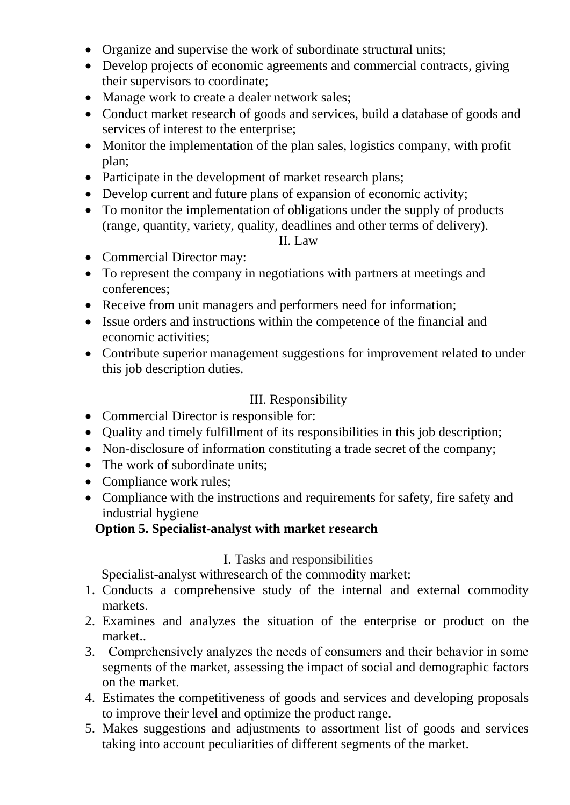- Organize and supervise the work of subordinate structural units;
- Develop projects of economic agreements and commercial contracts, giving their supervisors to coordinate;
- Manage work to create a dealer network sales;
- Conduct market research of goods and services, build a database of goods and services of interest to the enterprise;
- Monitor the implementation of the plan sales, logistics company, with profit plan;
- Participate in the development of market research plans;
- Develop current and future plans of expansion of economic activity;
- To monitor the implementation of obligations under the supply of products (range, quantity, variety, quality, deadlines and other terms of delivery).

#### II. Law

- Commercial Director may:
- To represent the company in negotiations with partners at meetings and conferences;
- Receive from unit managers and performers need for information;
- Issue orders and instructions within the competence of the financial and economic activities;
- Contribute superior management suggestions for improvement related to under this job description duties.

### III. Responsibility

- Commercial Director is responsible for:
- Quality and timely fulfillment of its responsibilities in this job description;
- Non-disclosure of information constituting a trade secret of the company;
- The work of subordinate units;
- Compliance work rules;
- Compliance with the instructions and requirements for safety, fire safety and industrial hygiene

# **Option 5. Specialist-analyst with market research**

# I. Tasks and responsibilities

Specialist-analyst withresearch of the commodity market:

- 1. Conducts a comprehensive study of the internal and external commodity markets.
- 2. Examines and analyzes the situation of the enterprise or product on the market..
- 3. Сomprehensively analyzes the needs of consumers and their behavior in some segments of the market, assessing the impact of social and demographic factors on the market.
- 4. Estimates the competitiveness of goods and services and developing proposals to improve their level and optimize the product range.
- 5. Makes suggestions and adjustments to assortment list of goods and services taking into account peculiarities of different segments of the market.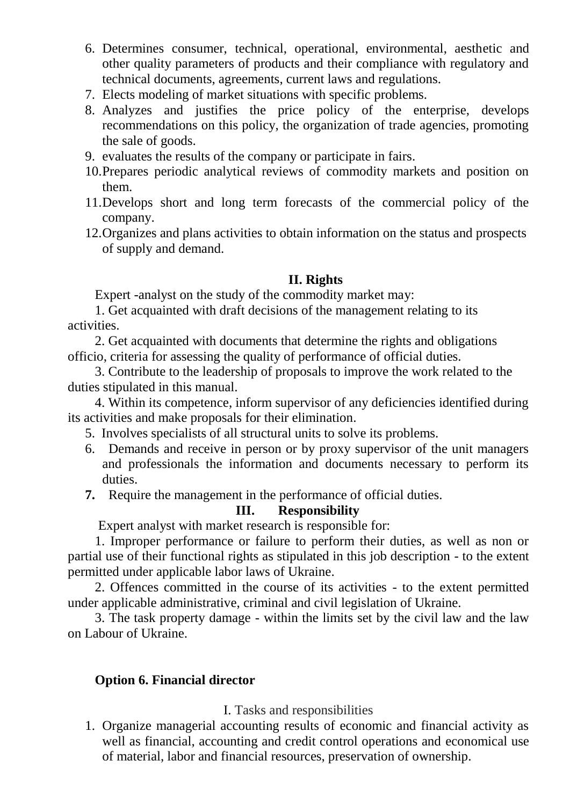- 6. Determines consumer, technical, operational, environmental, aesthetic and other quality parameters of products and their compliance with regulatory and technical documents, agreements, current laws and regulations.
- 7. Elects modeling of market situations with specific problems.
- 8. Analyzes and justifies the price policy of the enterprise, develops recommendations on this policy, the organization of trade agencies, promoting the sale of goods.
- 9. evaluates the results of the company or participate in fairs.
- 10.Prepares periodic analytical reviews of commodity markets and position on them.
- 11.Develops short and long term forecasts of the commercial policy of the company.
- 12.Organizes and plans activities to obtain information on the status and prospects of supply and demand.

#### **II. Rights**

Expert -analyst on the study of the commodity market may:

1. Get acquainted with draft decisions of the management relating to its activities.

2. Get acquainted with documents that determine the rights and obligations officio, criteria for assessing the quality of performance of official duties.

3. Contribute to the leadership of proposals to improve the work related to the duties stipulated in this manual.

4. Within its competence, inform supervisor of any deficiencies identified during its activities and make proposals for their elimination.

- 5. Involves specialists of all structural units to solve its problems.
- 6. Demands and receive in person or by proxy supervisor of the unit managers and professionals the information and documents necessary to perform its duties.
- **7.** Require the management in the performance of official duties.

#### **III. Responsibility**

Expert analyst with market research is responsible for:

1. Improper performance or failure to perform their duties, as well as non or partial use of their functional rights as stipulated in this job description - to the extent permitted under applicable labor laws of Ukraine.

2. Offences committed in the course of its activities - to the extent permitted under applicable administrative, criminal and civil legislation of Ukraine.

3. The task property damage - within the limits set by the civil law and the law on Labour of Ukraine.

#### **Option 6. Financial director**

#### I. Tasks and responsibilities

1. Organize managerial accounting results of economic and financial activity as well as financial, accounting and credit control operations and economical use of material, labor and financial resources, preservation of ownership.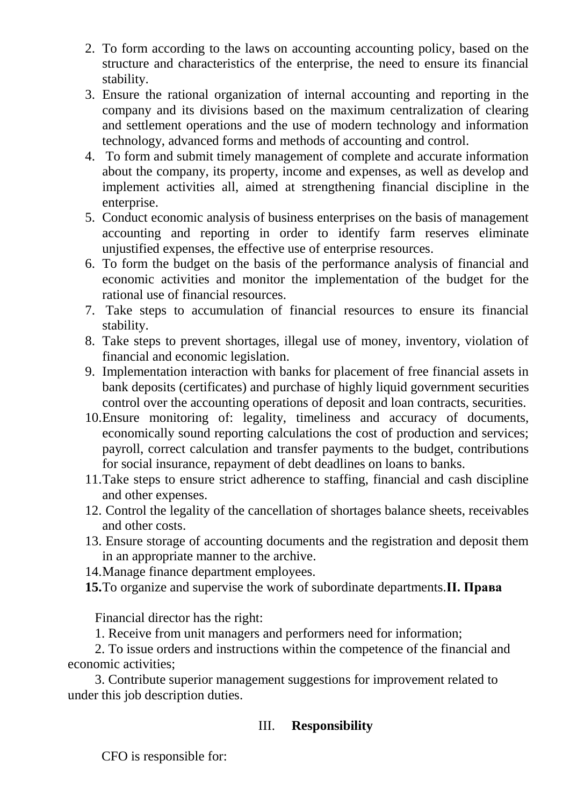- 2. To form according to the laws on accounting accounting policy, based on the structure and characteristics of the enterprise, the need to ensure its financial stability.
- 3. Ensure the rational organization of internal accounting and reporting in the company and its divisions based on the maximum centralization of clearing and settlement operations and the use of modern technology and information technology, advanced forms and methods of accounting and control.
- 4. To form and submit timely management of complete and accurate information about the company, its property, income and expenses, as well as develop and implement activities all, aimed at strengthening financial discipline in the enterprise.
- 5. Conduct economic analysis of business enterprises on the basis of management accounting and reporting in order to identify farm reserves eliminate unjustified expenses, the effective use of enterprise resources.
- 6. To form the budget on the basis of the performance analysis of financial and economic activities and monitor the implementation of the budget for the rational use of financial resources.
- 7. Take steps to accumulation of financial resources to ensure its financial stability.
- 8. Take steps to prevent shortages, illegal use of money, inventory, violation of financial and economic legislation.
- 9. Implementation interaction with banks for placement of free financial assets in bank deposits (certificates) and purchase of highly liquid government securities control over the accounting operations of deposit and loan contracts, securities.
- 10.Ensure monitoring of: legality, timeliness and accuracy of documents, economically sound reporting calculations the cost of production and services; payroll, correct calculation and transfer payments to the budget, contributions for social insurance, repayment of debt deadlines on loans to banks.
- 11.Take steps to ensure strict adherence to staffing, financial and cash discipline and other expenses.
- 12. Control the legality of the cancellation of shortages balance sheets, receivables and other costs.
- 13. Ensure storage of accounting documents and the registration and deposit them in an appropriate manner to the archive.
- 14.Manage finance department employees.
- **15.**To organize and supervise the work of subordinate departments.**II. Права**

Financial director has the right:

1. Receive from unit managers and performers need for information;

2. To issue orders and instructions within the competence of the financial and economic activities;

3. Contribute superior management suggestions for improvement related to under this job description duties.

### III. **Responsibility**

CFO is responsible for: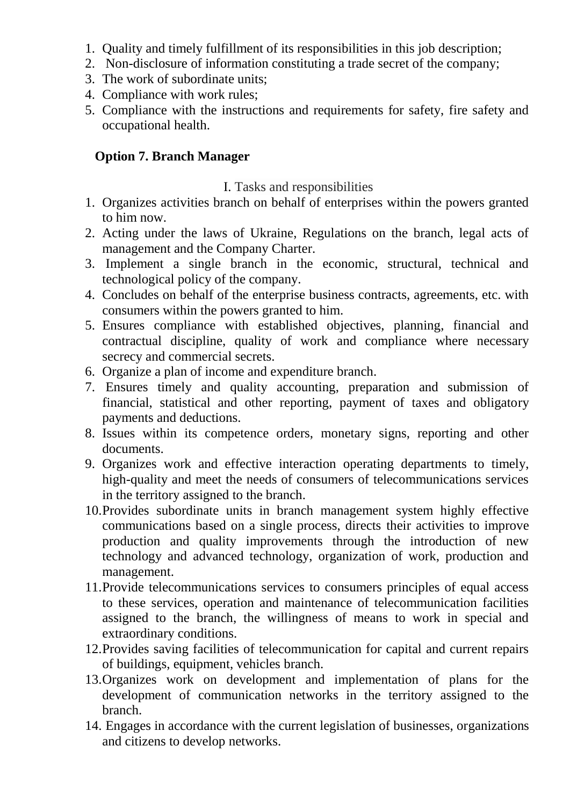- 1. Quality and timely fulfillment of its responsibilities in this job description;
- 2. Non-disclosure of information constituting a trade secret of the company;
- 3. The work of subordinate units;
- 4. Compliance with work rules;
- 5. Compliance with the instructions and requirements for safety, fire safety and occupational health.

#### **Option 7. Branch Manager**

#### I. Tasks and responsibilities

- 1. Organizes activities branch on behalf of enterprises within the powers granted to him now.
- 2. Acting under the laws of Ukraine, Regulations on the branch, legal acts of management and the Company Charter.
- 3. Implement a single branch in the economic, structural, technical and technological policy of the company.
- 4. Concludes on behalf of the enterprise business contracts, agreements, etc. with consumers within the powers granted to him.
- 5. Ensures compliance with established objectives, planning, financial and contractual discipline, quality of work and compliance where necessary secrecy and commercial secrets.
- 6. Organize a plan of income and expenditure branch.
- 7. Ensures timely and quality accounting, preparation and submission of financial, statistical and other reporting, payment of taxes and obligatory payments and deductions.
- 8. Issues within its competence orders, monetary signs, reporting and other documents.
- 9. Organizes work and effective interaction operating departments to timely, high-quality and meet the needs of consumers of telecommunications services in the territory assigned to the branch.
- 10.Provides subordinate units in branch management system highly effective communications based on a single process, directs their activities to improve production and quality improvements through the introduction of new technology and advanced technology, organization of work, production and management.
- 11.Provide telecommunications services to consumers principles of equal access to these services, operation and maintenance of telecommunication facilities assigned to the branch, the willingness of means to work in special and extraordinary conditions.
- 12.Provides saving facilities of telecommunication for capital and current repairs of buildings, equipment, vehicles branch.
- 13.Organizes work on development and implementation of plans for the development of communication networks in the territory assigned to the branch.
- 14. Engages in accordance with the current legislation of businesses, organizations and citizens to develop networks.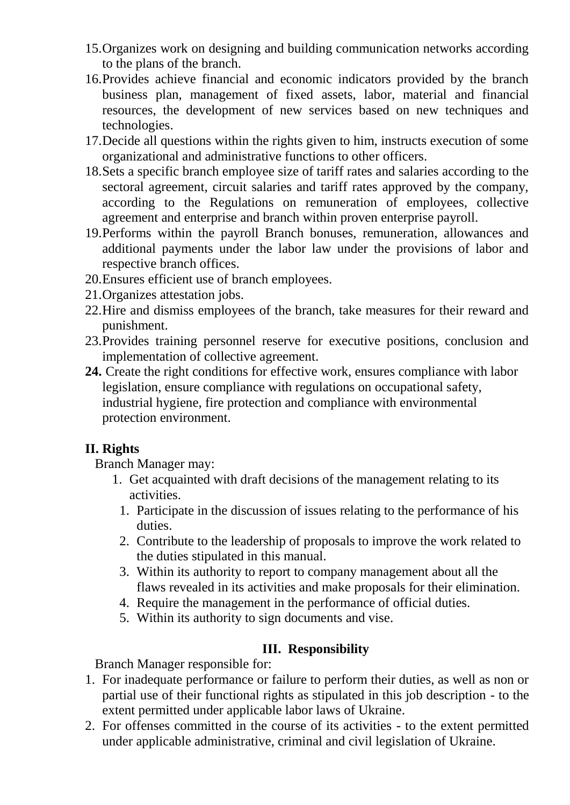- 15.Organizes work on designing and building communication networks according to the plans of the branch.
- 16.Provides achieve financial and economic indicators provided by the branch business plan, management of fixed assets, labor, material and financial resources, the development of new services based on new techniques and technologies.
- 17.Decide all questions within the rights given to him, instructs execution of some organizational and administrative functions to other officers.
- 18.Sets a specific branch employee size of tariff rates and salaries according to the sectoral agreement, circuit salaries and tariff rates approved by the company, according to the Regulations on remuneration of employees, collective agreement and enterprise and branch within proven enterprise payroll.
- 19.Performs within the payroll Branch bonuses, remuneration, allowances and additional payments under the labor law under the provisions of labor and respective branch offices.
- 20.Ensures efficient use of branch employees.
- 21.Organizes attestation jobs.
- 22.Hire and dismiss employees of the branch, take measures for their reward and punishment.
- 23.Provides training personnel reserve for executive positions, conclusion and implementation of collective agreement.
- **24.** Create the right conditions for effective work, ensures compliance with labor legislation, ensure compliance with regulations on occupational safety, industrial hygiene, fire protection and compliance with environmental protection environment.

### **II. Rights**

Branch Manager may:

- 1. Get acquainted with draft decisions of the management relating to its activities.
	- 1. Participate in the discussion of issues relating to the performance of his duties.
	- 2. Contribute to the leadership of proposals to improve the work related to the duties stipulated in this manual.
	- 3. Within its authority to report to company management about all the flaws revealed in its activities and make proposals for their elimination.
	- 4. Require the management in the performance of official duties.
	- 5. Within its authority to sign documents and vise.

### **IІІ. Responsibility**

Branch Manager responsible for:

- 1. For inadequate performance or failure to perform their duties, as well as non or partial use of their functional rights as stipulated in this job description - to the extent permitted under applicable labor laws of Ukraine.
- 2. For offenses committed in the course of its activities to the extent permitted under applicable administrative, criminal and civil legislation of Ukraine.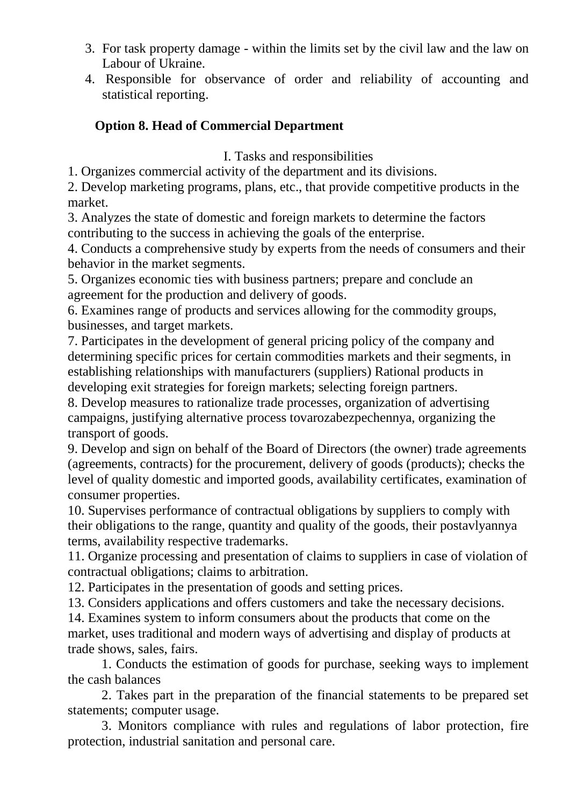- 3. For task property damage within the limits set by the civil law and the law on Labour of Ukraine.
- 4. Responsible for observance of order and reliability of accounting and statistical reporting.

### **Option 8. Head of Commercial Department**

I. Tasks and responsibilities

1. Organizes commercial activity of the department and its divisions.

2. Develop marketing programs, plans, etc., that provide competitive products in the market.

3. Analyzes the state of domestic and foreign markets to determine the factors contributing to the success in achieving the goals of the enterprise.

4. Conducts a comprehensive study by experts from the needs of consumers and their behavior in the market segments.

5. Organizes economic ties with business partners; prepare and conclude an agreement for the production and delivery of goods.

6. Examines range of products and services allowing for the commodity groups, businesses, and target markets.

7. Participates in the development of general pricing policy of the company and determining specific prices for certain commodities markets and their segments, in establishing relationships with manufacturers (suppliers) Rational products in developing exit strategies for foreign markets; selecting foreign partners.

8. Develop measures to rationalize trade processes, organization of advertising campaigns, justifying alternative process tovarozabezpechennya, organizing the transport of goods.

9. Develop and sign on behalf of the Board of Directors (the owner) trade agreements (agreements, contracts) for the procurement, delivery of goods (products); checks the level of quality domestic and imported goods, availability certificates, examination of consumer properties.

10. Supervises performance of contractual obligations by suppliers to comply with their obligations to the range, quantity and quality of the goods, their postavlyannya terms, availability respective trademarks.

11. Organize processing and presentation of claims to suppliers in case of violation of contractual obligations; claims to arbitration.

12. Participates in the presentation of goods and setting prices.

13. Considers applications and offers customers and take the necessary decisions.

14. Examines system to inform consumers about the products that come on the

market, uses traditional and modern ways of advertising and display of products at trade shows, sales, fairs.

1. Conducts the estimation of goods for purchase, seeking ways to implement the cash balances

2. Takes part in the preparation of the financial statements to be prepared set statements; computer usage.

3. Monitors compliance with rules and regulations of labor protection, fire protection, industrial sanitation and personal care.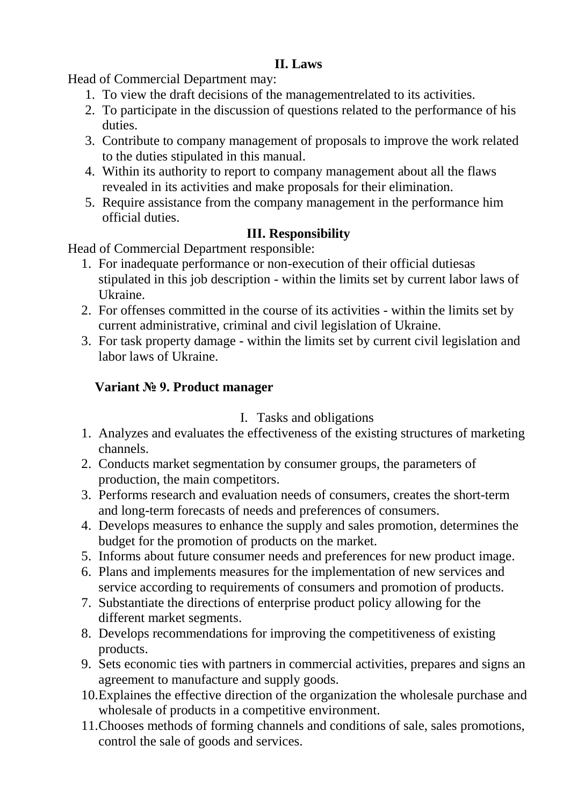### **II. Laws**

Head of Commercial Department may:

- 1. To view the draft decisions of the managementrelated to its activities.
- 2. To participate in the discussion of questions related to the performance of his duties.
- 3. Contribute to company management of proposals to improve the work related to the duties stipulated in this manual.
- 4. Within its authority to report to company management about all the flaws revealed in its activities and make proposals for their elimination.
- 5. Require assistance from the company management in the performance him official duties.

# **IІІ. Responsibility**

Head of Commercial Department responsible:

- 1. For inadequate performance or non-execution of their official dutiesas stipulated in this job description - within the limits set by current labor laws of Ukraine.
- 2. For offenses committed in the course of its activities within the limits set by current administrative, criminal and civil legislation of Ukraine.
- 3. For task property damage within the limits set by current civil legislation and labor laws of Ukraine.

# **Variant № 9. Product manager**

# I. Tasks and obligations

- 1. Analyzes and evaluates the effectiveness of the existing structures of marketing channels.
- 2. Conducts market segmentation by consumer groups, the parameters of production, the main competitors.
- 3. Performs research and evaluation needs of consumers, creates the short-term and long-term forecasts of needs and preferences of consumers.
- 4. Develops measures to enhance the supply and sales promotion, determines the budget for the promotion of products on the market.
- 5. Informs about future consumer needs and preferences for new product image.
- 6. Plans and implements measures for the implementation of new services and service according to requirements of consumers and promotion of products.
- 7. Substantiate the directions of enterprise product policy allowing for the different market segments.
- 8. Develops recommendations for improving the competitiveness of existing products.
- 9. Sets economic ties with partners in commercial activities, prepares and signs an agreement to manufacture and supply goods.
- 10.Explaines the effective direction of the organization the wholesale purchase and wholesale of products in a competitive environment.
- 11.Chooses methods of forming channels and conditions of sale, sales promotions, control the sale of goods and services.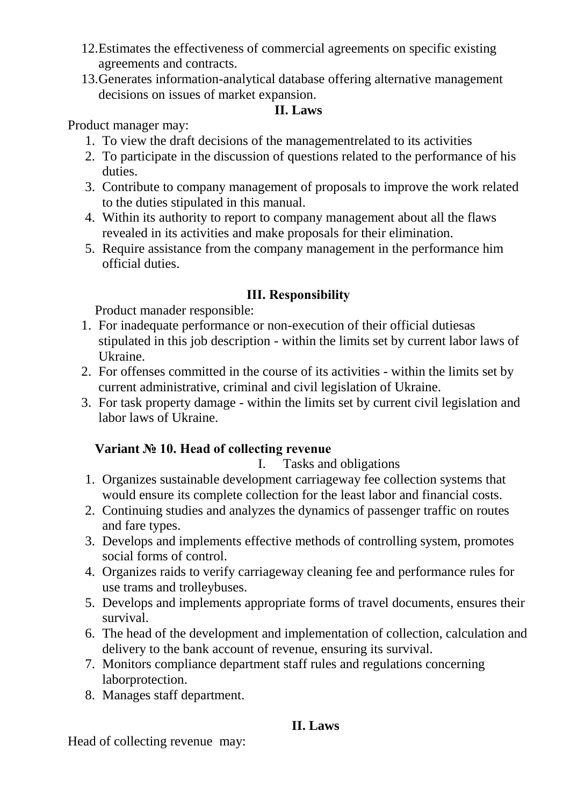- 12.Estimates the effectiveness of commercial agreements on specific existing agreements and contracts.
- 13.Generates information-analytical database offering alternative management decisions on issues of market expansion.

### **II. Laws**

#### Product manager may:

- 1. To view the draft decisions of the managementrelated to its activities
- 2. To participate in the discussion of questions related to the performance of his duties.
- 3. Contribute to company management of proposals to improve the work related to the duties stipulated in this manual.
- 4. Within its authority to report to company management about all the flaws revealed in its activities and make proposals for their elimination.
- 5. Require assistance from the company management in the performance him official duties.

### **IІІ. Responsibility**

Product manader responsible:

- 1. For inadequate performance or non-execution of their official dutiesas stipulated in this job description - within the limits set by current labor laws of Ukraine.
- 2. For offenses committed in the course of its activities within the limits set by current administrative, criminal and civil legislation of Ukraine.
- 3. For task property damage within the limits set by current civil legislation and labor laws of Ukraine.

### **Variant № 10. Head of collecting revenue**

I. Tasks and obligations

- 1. Organizes sustainable development carriageway fee collection systems that would ensure its complete collection for the least labor and financial costs.
- 2. Continuing studies and analyzes the dynamics of passenger traffic on routes and fare types.
- 3. Develops and implements effective methods of controlling system, promotes social forms of control.
- 4. Organizes raids to verify carriageway cleaning fee and performance rules for use trams and trolleybuses.
- 5. Develops and implements appropriate forms of travel documents, ensures their survival.
- 6. The head of the development and implementation of collection, calculation and delivery to the bank account of revenue, ensuring its survival.
- 7. Monitors compliance department staff rules and regulations concerning laborprotection.
- 8. Manages staff department.

# **II. Laws**

Head of collecting revenue may: